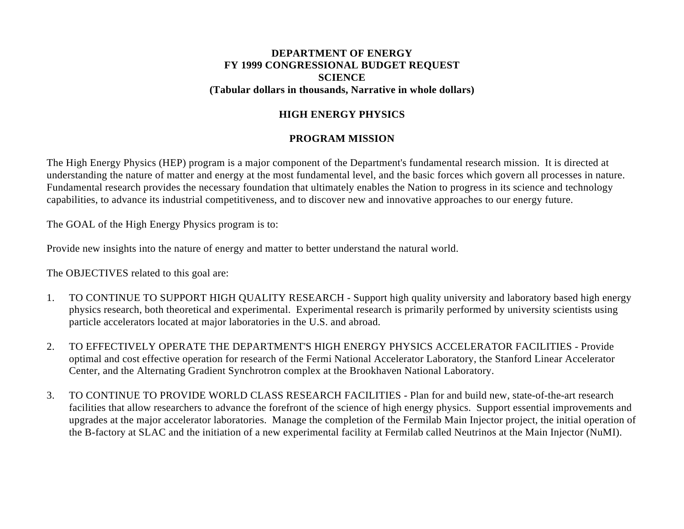#### **DEPARTMENT OF ENERGY FY 1999 CONGRESSIONAL BUDGET REQUEST SCIENCE (Tabular dollars in thousands, Narrative in whole dollars)**

## **HIGH ENERGY PHYSICS**

## **PROGRAM MISSION**

The High Energy Physics (HEP) program is a major component of the Department's fundamental research mission. It is directed at understanding the nature of matter and energy at the most fundamental level, and the basic forces which govern all processes in nature. Fundamental research provides the necessary foundation that ultimately enables the Nation to progress in its science and technology capabilities, to advance its industrial competitiveness, and to discover new and innovative approaches to our energy future.

The GOAL of the High Energy Physics program is to:

Provide new insights into the nature of energy and matter to better understand the natural world.

The OBJECTIVES related to this goal are:

- 1. TO CONTINUE TO SUPPORT HIGH QUALITY RESEARCH Support high quality university and laboratory based high energy physics research, both theoretical and experimental. Experimental research is primarily performed by university scientists using particle accelerators located at major laboratories in the U.S. and abroad.
- 2. TO EFFECTIVELY OPERATE THE DEPARTMENT'S HIGH ENERGY PHYSICS ACCELERATOR FACILITIES Provide optimal and cost effective operation for research of the Fermi National Accelerator Laboratory, the Stanford Linear Accelerator Center, and the Alternating Gradient Synchrotron complex at the Brookhaven National Laboratory.
- 3. TO CONTINUE TO PROVIDE WORLD CLASS RESEARCH FACILITIES Plan for and build new, state-of-the-art research facilities that allow researchers to advance the forefront of the science of high energy physics. Support essential improvements and upgrades at the major accelerator laboratories. Manage the completion of the Fermilab Main Injector project, the initial operation of the B-factory at SLAC and the initiation of a new experimental facility at Fermilab called Neutrinos at the Main Injector (NuMI).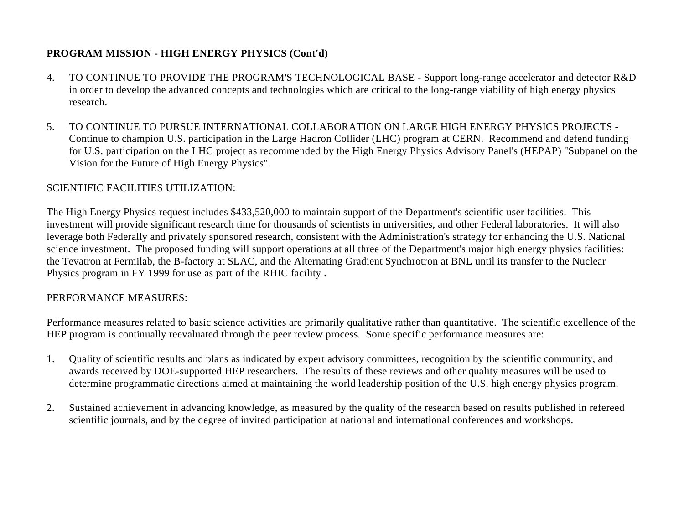- 4. TO CONTINUE TO PROVIDE THE PROGRAM'S TECHNOLOGICAL BASE Support long-range accelerator and detector R&D in order to develop the advanced concepts and technologies which are critical to the long-range viability of high energy physics research.
- 5. TO CONTINUE TO PURSUE INTERNATIONAL COLLABORATION ON LARGE HIGH ENERGY PHYSICS PROJECTS Continue to champion U.S. participation in the Large Hadron Collider (LHC) program at CERN. Recommend and defend funding for U.S. participation on the LHC project as recommended by the High Energy Physics Advisory Panel's (HEPAP) "Subpanel on the Vision for the Future of High Energy Physics".

## SCIENTIFIC FACILITIES UTILIZATION:

The High Energy Physics request includes \$433,520,000 to maintain support of the Department's scientific user facilities. This investment will provide significant research time for thousands of scientists in universities, and other Federal laboratories. It will also leverage both Federally and privately sponsored research, consistent with the Administration's strategy for enhancing the U.S. National science investment. The proposed funding will support operations at all three of the Department's major high energy physics facilities: the Tevatron at Fermilab, the B-factory at SLAC, and the Alternating Gradient Synchrotron at BNL until its transfer to the Nuclear Physics program in FY 1999 for use as part of the RHIC facility .

## PERFORMANCE MEASURES:

Performance measures related to basic science activities are primarily qualitative rather than quantitative. The scientific excellence of the HEP program is continually reevaluated through the peer review process. Some specific performance measures are:

- 1. Quality of scientific results and plans as indicated by expert advisory committees, recognition by the scientific community, and awards received by DOE-supported HEP researchers. The results of these reviews and other quality measures will be used to determine programmatic directions aimed at maintaining the world leadership position of the U.S. high energy physics program.
- 2. Sustained achievement in advancing knowledge, as measured by the quality of the research based on results published in refereed scientific journals, and by the degree of invited participation at national and international conferences and workshops.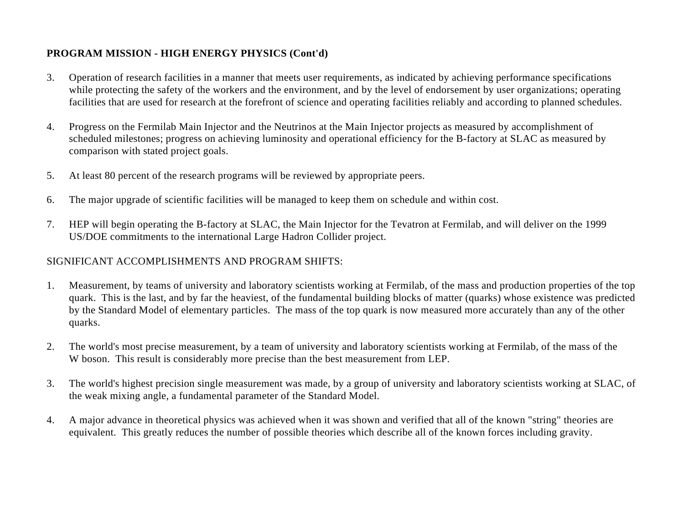- 3. Operation of research facilities in a manner that meets user requirements, as indicated by achieving performance specifications while protecting the safety of the workers and the environment, and by the level of endorsement by user organizations; operating facilities that are used for research at the forefront of science and operating facilities reliably and according to planned schedules.
- 4. Progress on the Fermilab Main Injector and the Neutrinos at the Main Injector projects as measured by accomplishment of scheduled milestones; progress on achieving luminosity and operational efficiency for the B-factory at SLAC as measured by comparison with stated project goals.
- 5. At least 80 percent of the research programs will be reviewed by appropriate peers.
- 6. The major upgrade of scientific facilities will be managed to keep them on schedule and within cost.
- 7. HEP will begin operating the B-factory at SLAC, the Main Injector for the Tevatron at Fermilab, and will deliver on the 1999 US/DOE commitments to the international Large Hadron Collider project.

## SIGNIFICANT ACCOMPLISHMENTS AND PROGRAM SHIFTS:

- 1. Measurement, by teams of university and laboratory scientists working at Fermilab, of the mass and production properties of the top quark. This is the last, and by far the heaviest, of the fundamental building blocks of matter (quarks) whose existence was predicted by the Standard Model of elementary particles. The mass of the top quark is now measured more accurately than any of the other quarks.
- 2. The world's most precise measurement, by a team of university and laboratory scientists working at Fermilab, of the mass of the W boson. This result is considerably more precise than the best measurement from LEP.
- 3. The world's highest precision single measurement was made, by a group of university and laboratory scientists working at SLAC, of the weak mixing angle, a fundamental parameter of the Standard Model.
- 4. A major advance in theoretical physics was achieved when it was shown and verified that all of the known "string" theories are equivalent. This greatly reduces the number of possible theories which describe all of the known forces including gravity.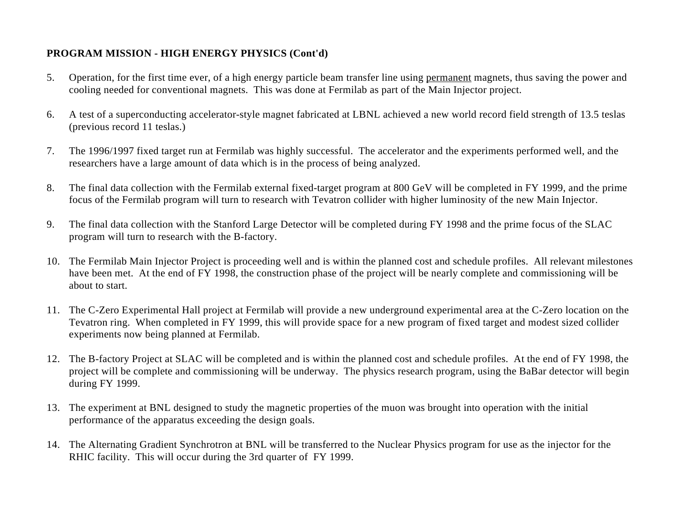- 5. Operation, for the first time ever, of a high energy particle beam transfer line using permanent magnets, thus saving the power and cooling needed for conventional magnets. This was done at Fermilab as part of the Main Injector project.
- 6. A test of a superconducting accelerator-style magnet fabricated at LBNL achieved a new world record field strength of 13.5 teslas (previous record 11 teslas.)
- 7. The 1996/1997 fixed target run at Fermilab was highly successful. The accelerator and the experiments performed well, and the researchers have a large amount of data which is in the process of being analyzed.
- 8. The final data collection with the Fermilab external fixed-target program at 800 GeV will be completed in FY 1999, and the prime focus of the Fermilab program will turn to research with Tevatron collider with higher luminosity of the new Main Injector.
- 9. The final data collection with the Stanford Large Detector will be completed during FY 1998 and the prime focus of the SLAC program will turn to research with the B-factory.
- 10. The Fermilab Main Injector Project is proceeding well and is within the planned cost and schedule profiles. All relevant milestones have been met. At the end of FY 1998, the construction phase of the project will be nearly complete and commissioning will be about to start.
- 11. The C-Zero Experimental Hall project at Fermilab will provide a new underground experimental area at the C-Zero location on the Tevatron ring. When completed in FY 1999, this will provide space for a new program of fixed target and modest sized collider experiments now being planned at Fermilab.
- 12. The B-factory Project at SLAC will be completed and is within the planned cost and schedule profiles. At the end of FY 1998, the project will be complete and commissioning will be underway. The physics research program, using the BaBar detector will begin during FY 1999.
- 13. The experiment at BNL designed to study the magnetic properties of the muon was brought into operation with the initial performance of the apparatus exceeding the design goals.
- 14. The Alternating Gradient Synchrotron at BNL will be transferred to the Nuclear Physics program for use as the injector for the RHIC facility. This will occur during the 3rd quarter of FY 1999.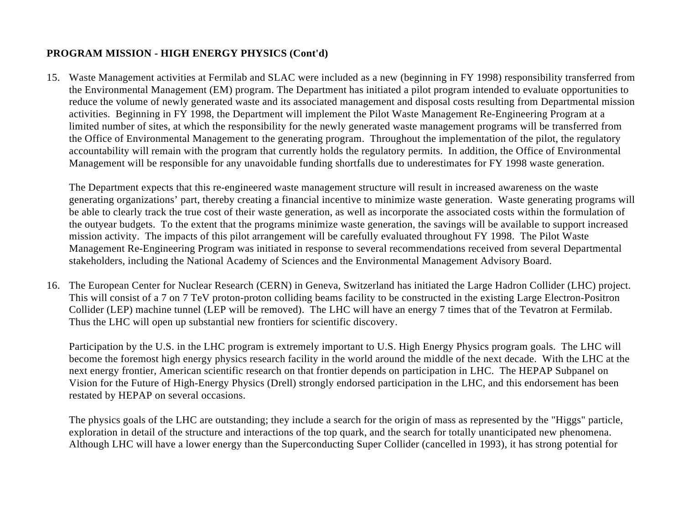15. Waste Management activities at Fermilab and SLAC were included as a new (beginning in FY 1998) responsibility transferred from the Environmental Management (EM) program. The Department has initiated a pilot program intended to evaluate opportunities to reduce the volume of newly generated waste and its associated management and disposal costs resulting from Departmental mission activities. Beginning in FY 1998, the Department will implement the Pilot Waste Management Re-Engineering Program at a limited number of sites, at which the responsibility for the newly generated waste management programs will be transferred from the Office of Environmental Management to the generating program. Throughout the implementation of the pilot, the regulatory accountability will remain with the program that currently holds the regulatory permits. In addition, the Office of Environmental Management will be responsible for any unavoidable funding shortfalls due to underestimates for FY 1998 waste generation.

The Department expects that this re-engineered waste management structure will result in increased awareness on the waste generating organizations' part, thereby creating a financial incentive to minimize waste generation. Waste generating programs will be able to clearly track the true cost of their waste generation, as well as incorporate the associated costs within the formulation of the outyear budgets. To the extent that the programs minimize waste generation, the savings will be available to support increased mission activity. The impacts of this pilot arrangement will be carefully evaluated throughout FY 1998. The Pilot Waste Management Re-Engineering Program was initiated in response to several recommendations received from several Departmental stakeholders, including the National Academy of Sciences and the Environmental Management Advisory Board.

16. The European Center for Nuclear Research (CERN) in Geneva, Switzerland has initiated the Large Hadron Collider (LHC) project. This will consist of a 7 on 7 TeV proton-proton colliding beams facility to be constructed in the existing Large Electron-Positron Collider (LEP) machine tunnel (LEP will be removed). The LHC will have an energy 7 times that of the Tevatron at Fermilab. Thus the LHC will open up substantial new frontiers for scientific discovery.

Participation by the U.S. in the LHC program is extremely important to U.S. High Energy Physics program goals. The LHC will become the foremost high energy physics research facility in the world around the middle of the next decade. With the LHC at the next energy frontier, American scientific research on that frontier depends on participation in LHC. The HEPAP Subpanel on Vision for the Future of High-Energy Physics (Drell) strongly endorsed participation in the LHC, and this endorsement has been restated by HEPAP on several occasions.

The physics goals of the LHC are outstanding; they include a search for the origin of mass as represented by the "Higgs" particle, exploration in detail of the structure and interactions of the top quark, and the search for totally unanticipated new phenomena. Although LHC will have a lower energy than the Superconducting Super Collider (cancelled in 1993), it has strong potential for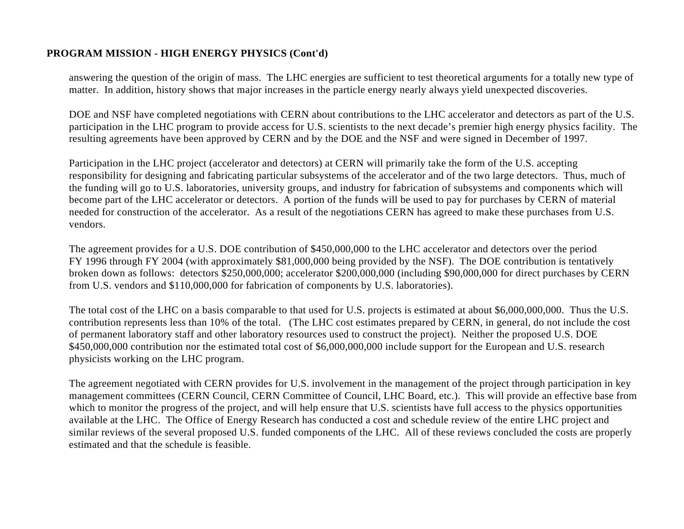answering the question of the origin of mass. The LHC energies are sufficient to test theoretical arguments for a totally new type of matter. In addition, history shows that major increases in the particle energy nearly always yield unexpected discoveries.

DOE and NSF have completed negotiations with CERN about contributions to the LHC accelerator and detectors as part of the U.S. participation in the LHC program to provide access for U.S. scientists to the next decade's premier high energy physics facility. The resulting agreements have been approved by CERN and by the DOE and the NSF and were signed in December of 1997.

Participation in the LHC project (accelerator and detectors) at CERN will primarily take the form of the U.S. accepting responsibility for designing and fabricating particular subsystems of the accelerator and of the two large detectors. Thus, much of the funding will go to U.S. laboratories, university groups, and industry for fabrication of subsystems and components which will become part of the LHC accelerator or detectors. A portion of the funds will be used to pay for purchases by CERN of material needed for construction of the accelerator. As a result of the negotiations CERN has agreed to make these purchases from U.S. vendors.

The agreement provides for a U.S. DOE contribution of \$450,000,000 to the LHC accelerator and detectors over the period FY 1996 through FY 2004 (with approximately \$81,000,000 being provided by the NSF). The DOE contribution is tentatively broken down as follows: detectors \$250,000,000; accelerator \$200,000,000 (including \$90,000,000 for direct purchases by CERN from U.S. vendors and \$110,000,000 for fabrication of components by U.S. laboratories).

The total cost of the LHC on a basis comparable to that used for U.S. projects is estimated at about \$6,000,000,000. Thus the U.S. contribution represents less than 10% of the total. (The LHC cost estimates prepared by CERN, in general, do not include the cost of permanent laboratory staff and other laboratory resources used to construct the project). Neither the proposed U.S. DOE \$450,000,000 contribution nor the estimated total cost of \$6,000,000,000 include support for the European and U.S. research physicists working on the LHC program.

The agreement negotiated with CERN provides for U.S. involvement in the management of the project through participation in key management committees (CERN Council, CERN Committee of Council, LHC Board, etc.). This will provide an effective base from which to monitor the progress of the project, and will help ensure that U.S. scientists have full access to the physics opportunities available at the LHC. The Office of Energy Research has conducted a cost and schedule review of the entire LHC project and similar reviews of the several proposed U.S. funded components of the LHC. All of these reviews concluded the costs are properly estimated and that the schedule is feasible.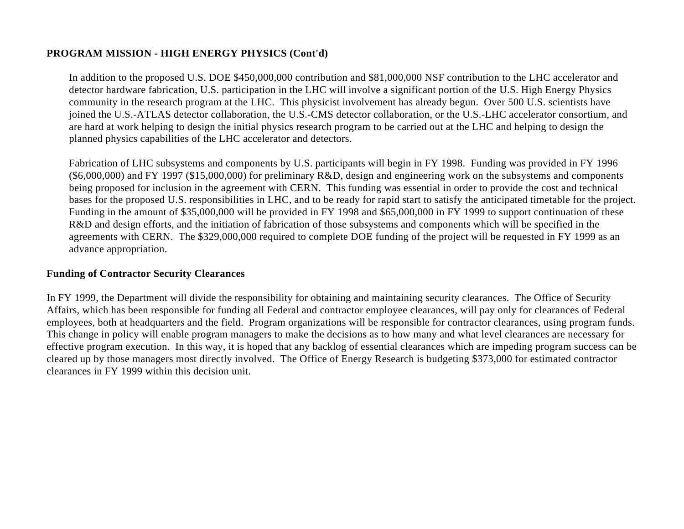In addition to the proposed U.S. DOE \$450,000,000 contribution and \$81,000,000 NSF contribution to the LHC accelerator and detector hardware fabrication, U.S. participation in the LHC will involve a significant portion of the U.S. High Energy Physics community in the research program at the LHC. This physicist involvement has already begun. Over 500 U.S. scientists have joined the U.S.-ATLAS detector collaboration, the U.S.-CMS detector collaboration, or the U.S.-LHC accelerator consortium, and are hard at work helping to design the initial physics research program to be carried out at the LHC and helping to design the planned physics capabilities of the LHC accelerator and detectors.

Fabrication of LHC subsystems and components by U.S. participants will begin in FY 1998. Funding was provided in FY 1996 (\$6,000,000) and FY 1997 (\$15,000,000) for preliminary R&D, design and engineering work on the subsystems and components being proposed for inclusion in the agreement with CERN. This funding was essential in order to provide the cost and technical bases for the proposed U.S. responsibilities in LHC, and to be ready for rapid start to satisfy the anticipated timetable for the project. Funding in the amount of \$35,000,000 will be provided in FY 1998 and \$65,000,000 in FY 1999 to support continuation of these R&D and design efforts, and the initiation of fabrication of those subsystems and components which will be specified in the agreements with CERN. The \$329,000,000 required to complete DOE funding of the project will be requested in FY 1999 as an advance appropriation.

#### **Funding of Contractor Security Clearances**

In FY 1999, the Department will divide the responsibility for obtaining and maintaining security clearances. The Office of Security Affairs, which has been responsible for funding all Federal and contractor employee clearances, will pay only for clearances of Federal employees, both at headquarters and the field. Program organizations will be responsible for contractor clearances, using program funds. This change in policy will enable program managers to make the decisions as to how many and what level clearances are necessary for effective program execution. In this way, it is hoped that any backlog of essential clearances which are impeding program success can be cleared up by those managers most directly involved. The Office of Energy Research is budgeting \$373,000 for estimated contractor clearances in FY 1999 within this decision unit.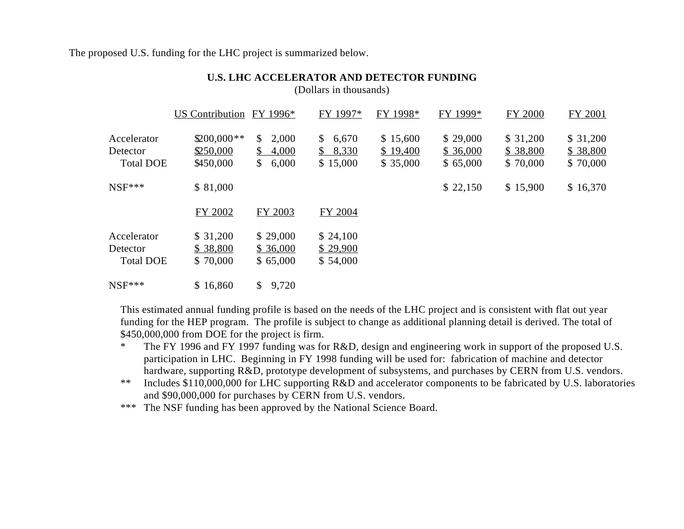The proposed U.S. funding for the LHC project is summarized below.

|                                             | US Contribution                        | FY 1996*                                                          | FY 1997*                                         | FY 1998*                         | FY 1999*                         | FY 2000                          | FY 2001                          |
|---------------------------------------------|----------------------------------------|-------------------------------------------------------------------|--------------------------------------------------|----------------------------------|----------------------------------|----------------------------------|----------------------------------|
| Accelerator<br>Detector<br><b>Total DOE</b> | $$200,000**$<br>\$250,000<br>\$450,000 | $\mathbb{S}^-$<br>2,000<br>4,000<br>\$<br>$\mathbb{S}^-$<br>6,000 | $\mathbb{S}$<br>6,670<br>8,330<br>\$<br>\$15,000 | \$15,600<br>\$19,400<br>\$35,000 | \$29,000<br>\$36,000<br>\$65,000 | \$31,200<br>\$38,800<br>\$70,000 | \$31,200<br>\$38,800<br>\$70,000 |
| $NSF***$                                    | \$ 81,000                              |                                                                   |                                                  |                                  | \$22,150                         | \$15,900                         | \$16,370                         |
|                                             | FY 2002                                | FY 2003                                                           | FY 2004                                          |                                  |                                  |                                  |                                  |
| Accelerator<br>Detector<br><b>Total DOE</b> | \$31,200<br>\$38,800<br>\$70,000       | \$29,000<br>\$36,000<br>\$65,000                                  | \$24,100<br>\$29,900<br>\$54,000                 |                                  |                                  |                                  |                                  |
| $NSF***$                                    | \$16,860                               | 9,720<br>\$                                                       |                                                  |                                  |                                  |                                  |                                  |

#### **U.S. LHC ACCELERATOR AND DETECTOR FUNDING** (Dollars in thousands)

This estimated annual funding profile is based on the needs of the LHC project and is consistent with flat out year funding for the HEP program. The profile is subject to change as additional planning detail is derived. The total of \$450,000,000 from DOE for the project is firm.

- \* The FY 1996 and FY 1997 funding was for R&D, design and engineering work in support of the proposed U.S. participation in LHC. Beginning in FY 1998 funding will be used for: fabrication of machine and detector hardware, supporting R&D, prototype development of subsystems, and purchases by CERN from U.S. vendors.
- \*\* Includes \$110,000,000 for LHC supporting R&D and accelerator components to be fabricated by U.S. laboratories and \$90,000,000 for purchases by CERN from U.S. vendors.
- \*\*\* The NSF funding has been approved by the National Science Board.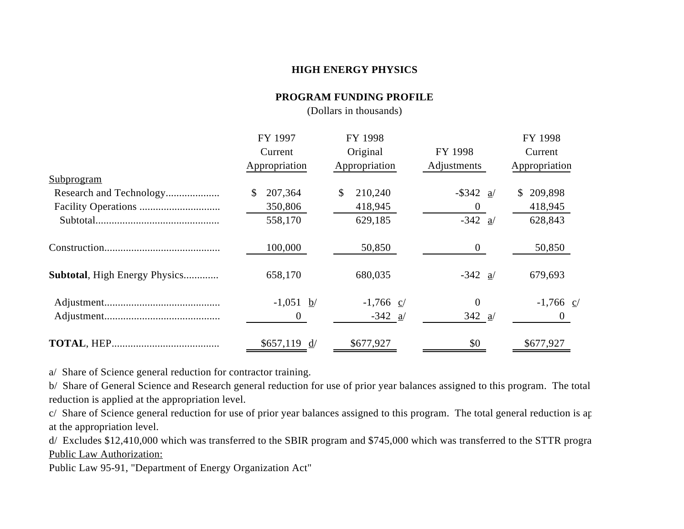#### **HIGH ENERGY PHYSICS**

#### **PROGRAM FUNDING PROFILE**

(Dollars in thousands)

| FY 1997               | FY 1998            |                | FY 1998                  |
|-----------------------|--------------------|----------------|--------------------------|
| Current               | Original           | FY 1998        | Current                  |
| Appropriation         | Appropriation      | Adjustments    | Appropriation            |
|                       |                    |                |                          |
| 207,364               | 210,240<br>\$      | $-$ \$342 a/   | 209,898<br>S.            |
| 350,806               | 418,945            |                | 418,945                  |
| 558,170               | 629,185            | $-342$ a/      | 628,843                  |
| 100,000               | 50,850             | $\Omega$       | 50,850                   |
| 658,170               | 680,035            | $-342$ a/      | 679,693                  |
| $-1,051$ b/           | $-1,766$ c/        | $\overline{0}$ | $-1,766$ $\underline{c}$ |
| $\theta$              | $-342 \frac{a}{2}$ | 342 $a/$       | $\overline{0}$           |
| $$657,119 \text{ d}/$ | \$677,927          | \$0            | \$677,927                |
|                       |                    |                |                          |

a/ Share of Science general reduction for contractor training.

b/ Share of General Science and Research general reduction for use of prior year balances assigned to this program. The total reduction is applied at the appropriation level.

c/ Share of Science general reduction for use of prior year balances assigned to this program. The total general reduction is ap at the appropriation level.

d/ Excludes \$12,410,000 which was transferred to the SBIR program and \$745,000 which was transferred to the STTR progra Public Law Authorization:

Public Law 95-91, "Department of Energy Organization Act"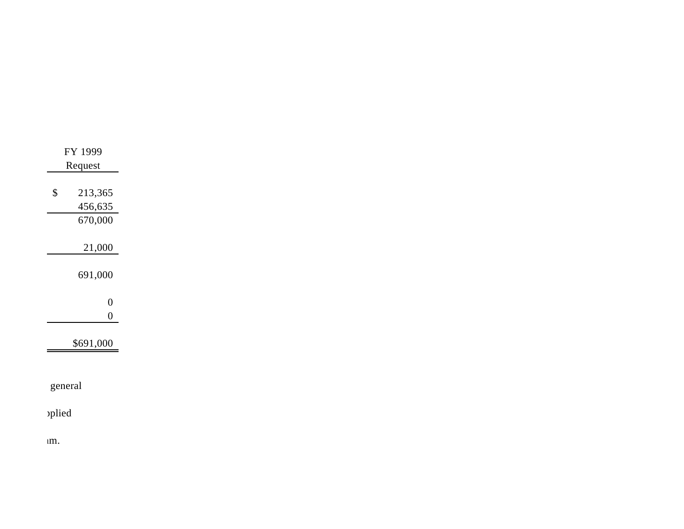| 213,365<br>$\boldsymbol{\$}$<br>456,635<br>670,000<br>21,000<br>691,000<br>$\boldsymbol{0}$<br>$\boldsymbol{0}$<br>\$691,000 |  |  | FY 1999<br>Request |  |
|------------------------------------------------------------------------------------------------------------------------------|--|--|--------------------|--|
|                                                                                                                              |  |  |                    |  |
|                                                                                                                              |  |  |                    |  |
|                                                                                                                              |  |  |                    |  |
|                                                                                                                              |  |  |                    |  |
|                                                                                                                              |  |  |                    |  |
|                                                                                                                              |  |  |                    |  |
|                                                                                                                              |  |  |                    |  |
|                                                                                                                              |  |  |                    |  |
|                                                                                                                              |  |  | general            |  |

 $um.$ 

por Seience general reduction for the total reduction for the total reduction for the total general reduction  $n_{\text{rel}}$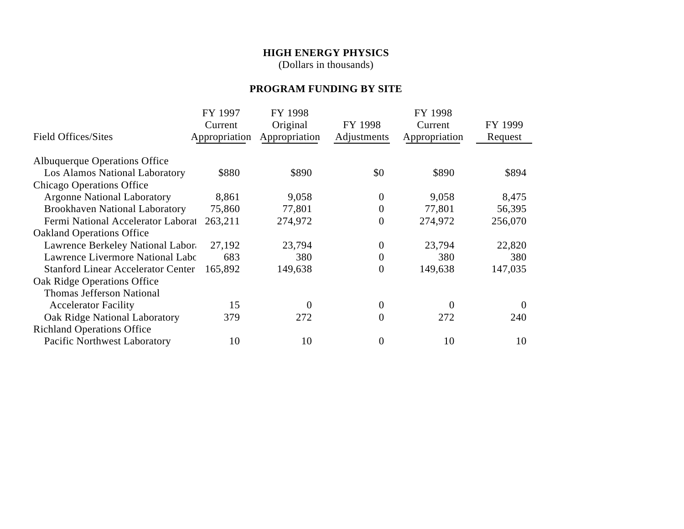## **HIGH ENERGY PHYSICS**

(Dollars in thousands)

# **PROGRAM FUNDING BY SITE**

|                                           | FY 1997       | FY 1998       |                  | FY 1998       |          |
|-------------------------------------------|---------------|---------------|------------------|---------------|----------|
|                                           | Current       | Original      | FY 1998          | Current       | FY 1999  |
| <b>Field Offices/Sites</b>                | Appropriation | Appropriation | Adjustments      | Appropriation | Request  |
|                                           |               |               |                  |               |          |
| Albuquerque Operations Office             |               |               |                  |               |          |
| <b>Los Alamos National Laboratory</b>     | \$880         | \$890         | \$0              | \$890         | \$894    |
| <b>Chicago Operations Office</b>          |               |               |                  |               |          |
| <b>Argonne National Laboratory</b>        | 8,861         | 9,058         | 0                | 9,058         | 8,475    |
| <b>Brookhaven National Laboratory</b>     | 75,860        | 77,801        | $\boldsymbol{0}$ | 77,801        | 56,395   |
| Fermi National Accelerator Laborat        | 263,211       | 274,972       | $\boldsymbol{0}$ | 274,972       | 256,070  |
| <b>Oakland Operations Office</b>          |               |               |                  |               |          |
| Lawrence Berkeley National Labor          | 27,192        | 23,794        | 0                | 23,794        | 22,820   |
| Lawrence Livermore National Labo          | 683           | 380           | $\boldsymbol{0}$ | 380           | 380      |
| <b>Stanford Linear Accelerator Center</b> | 165,892       | 149,638       | $\overline{0}$   | 149,638       | 147,035  |
| Oak Ridge Operations Office               |               |               |                  |               |          |
| <b>Thomas Jefferson National</b>          |               |               |                  |               |          |
| <b>Accelerator Facility</b>               | 15            | $\Omega$      | 0                | $\mathbf{0}$  | $\theta$ |
| Oak Ridge National Laboratory             | 379           | 272           | $\overline{0}$   | 272           | 240      |
| <b>Richland Operations Office</b>         |               |               |                  |               |          |
| <b>Pacific Northwest Laboratory</b>       | 10            | 10            | $\overline{0}$   | 10            | 10       |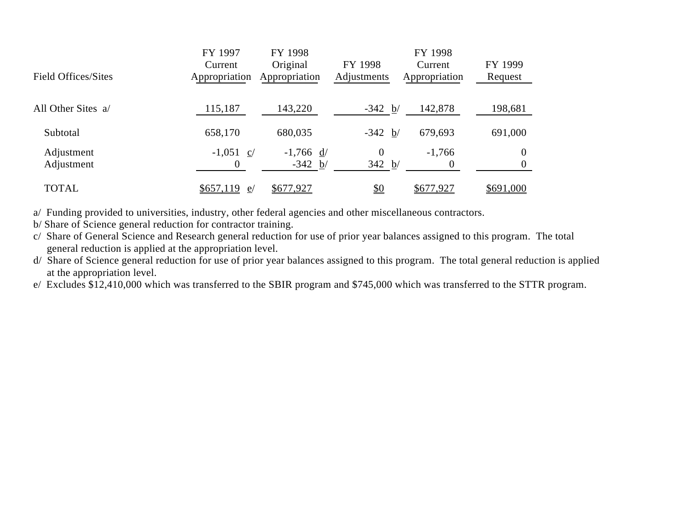|                            | FY 1997        | FY 1998       |                | FY 1998       |           |
|----------------------------|----------------|---------------|----------------|---------------|-----------|
|                            | Current        | Original      | FY 1998        | Current       | FY 1999   |
| <b>Field Offices/Sites</b> | Appropriation  | Appropriation | Adjustments    | Appropriation | Request   |
|                            |                |               |                |               |           |
| All Other Sites a/         | 115,187        | 143,220       | $-342 b/$      | 142,878       | 198,681   |
|                            |                |               |                |               |           |
| Subtotal                   | 658,170        | 680,035       | $-342 b/$      | 679,693       | 691,000   |
| Adjustment                 | $-1,051$ c/    | $-1,766$ d/   | $\overline{0}$ | $-1,766$      | 0         |
| Adjustment                 | 0              | $-342 b/$     | 342 b/         | $\Omega$      |           |
|                            |                |               |                |               |           |
| <b>TOTAL</b>               | \$657,119<br>e | \$677,927     | <u>\$0</u>     | \$677,927     | \$691,000 |

a/ Funding provided to universities, industry, other federal agencies and other miscellaneous contractors.

b/ Share of Science general reduction for contractor training.

c/ Share of General Science and Research general reduction for use of prior year balances assigned to this program. The total general reduction is applied at the appropriation level.

d/ Share of Science general reduction for use of prior year balances assigned to this program. The total general reduction is applied at the appropriation level.

e/ Excludes \$12,410,000 which was transferred to the SBIR program and \$745,000 which was transferred to the STTR program.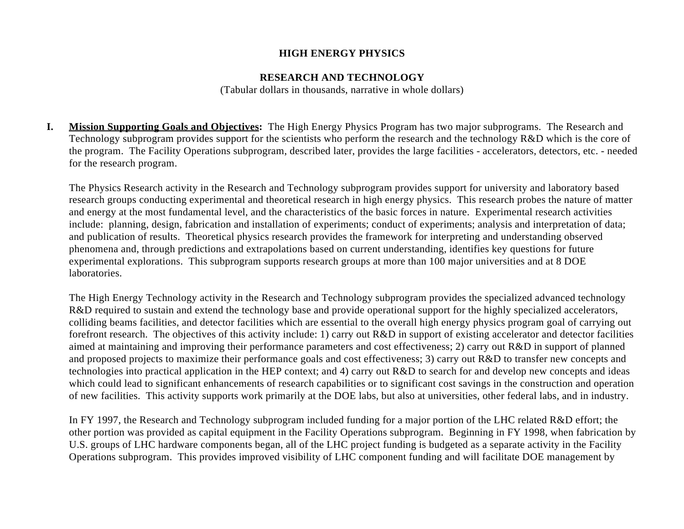#### **HIGH ENERGY PHYSICS**

#### **RESEARCH AND TECHNOLOGY**

(Tabular dollars in thousands, narrative in whole dollars)

**I. Mission Supporting Goals and Objectives:** The High Energy Physics Program has two major subprograms. The Research and Technology subprogram provides support for the scientists who perform the research and the technology R&D which is the core of the program. The Facility Operations subprogram, described later, provides the large facilities - accelerators, detectors, etc. - needed for the research program.

The Physics Research activity in the Research and Technology subprogram provides support for university and laboratory based research groups conducting experimental and theoretical research in high energy physics. This research probes the nature of matter and energy at the most fundamental level, and the characteristics of the basic forces in nature. Experimental research activities include: planning, design, fabrication and installation of experiments; conduct of experiments; analysis and interpretation of data; and publication of results. Theoretical physics research provides the framework for interpreting and understanding observed phenomena and, through predictions and extrapolations based on current understanding, identifies key questions for future experimental explorations. This subprogram supports research groups at more than 100 major universities and at 8 DOE laboratories.

The High Energy Technology activity in the Research and Technology subprogram provides the specialized advanced technology R&D required to sustain and extend the technology base and provide operational support for the highly specialized accelerators, colliding beams facilities, and detector facilities which are essential to the overall high energy physics program goal of carrying out forefront research. The objectives of this activity include: 1) carry out R&D in support of existing accelerator and detector facilities aimed at maintaining and improving their performance parameters and cost effectiveness; 2) carry out R&D in support of planned and proposed projects to maximize their performance goals and cost effectiveness; 3) carry out R&D to transfer new concepts and technologies into practical application in the HEP context; and 4) carry out R&D to search for and develop new concepts and ideas which could lead to significant enhancements of research capabilities or to significant cost savings in the construction and operation of new facilities. This activity supports work primarily at the DOE labs, but also at universities, other federal labs, and in industry.

In FY 1997, the Research and Technology subprogram included funding for a major portion of the LHC related R&D effort; the other portion was provided as capital equipment in the Facility Operations subprogram. Beginning in FY 1998, when fabrication by U.S. groups of LHC hardware components began, all of the LHC project funding is budgeted as a separate activity in the Facility Operations subprogram. This provides improved visibility of LHC component funding and will facilitate DOE management by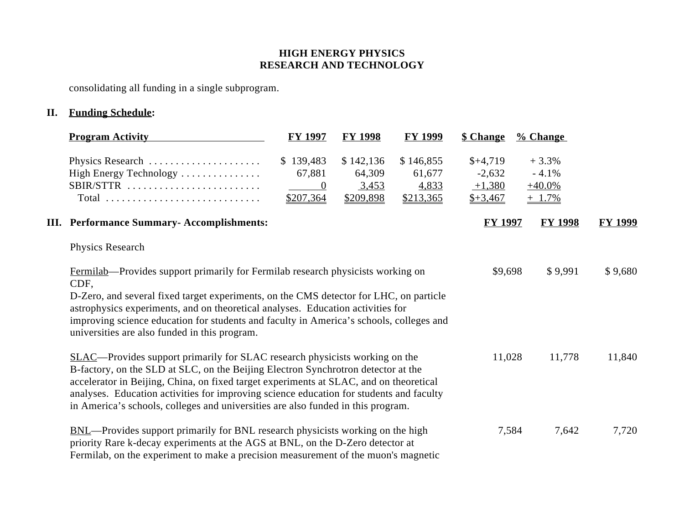consolidating all funding in a single subprogram.

# **II. Funding Schedule:**

| <b>Program Activity</b>                                                                                                                                                                                                                                                                                                                                                                                                                          | <b>FY 1997</b>                                       | <b>FY 1998</b>                            | <b>FY 1999</b>                            | \$ Change                                      | $\frac{9}{6}$ Change                       |                |
|--------------------------------------------------------------------------------------------------------------------------------------------------------------------------------------------------------------------------------------------------------------------------------------------------------------------------------------------------------------------------------------------------------------------------------------------------|------------------------------------------------------|-------------------------------------------|-------------------------------------------|------------------------------------------------|--------------------------------------------|----------------|
| Physics Research<br>High Energy Technology<br>SBIR/STTR<br>Total                                                                                                                                                                                                                                                                                                                                                                                 | \$139,483<br>67,881<br>$\boldsymbol{0}$<br>\$207,364 | \$142,136<br>64,309<br>3,453<br>\$209,898 | \$146,855<br>61,677<br>4,833<br>\$213,365 | $$+4,719$<br>$-2,632$<br>$+1,380$<br>$$+3,467$ | $+3.3%$<br>$-4.1%$<br>$+40.0%$<br>$+$ 1.7% |                |
| <b>III.</b> Performance Summary- Accomplishments:                                                                                                                                                                                                                                                                                                                                                                                                |                                                      |                                           |                                           | <b>FY 1997</b>                                 | <b>FY 1998</b>                             | <b>FY 1999</b> |
| Physics Research                                                                                                                                                                                                                                                                                                                                                                                                                                 |                                                      |                                           |                                           |                                                |                                            |                |
| <b>Fermilab</b> —Provides support primarily for Fermilab research physicists working on<br>CDF,<br>D-Zero, and several fixed target experiments, on the CMS detector for LHC, on particle<br>astrophysics experiments, and on theoretical analyses. Education activities for<br>improving science education for students and faculty in America's schools, colleges and<br>universities are also funded in this program.                         |                                                      |                                           |                                           | \$9,698                                        | \$9,991                                    | \$9,680        |
| <b>SLAC—Provides support primarily for SLAC research physicists working on the</b><br>B-factory, on the SLD at SLC, on the Beijing Electron Synchrotron detector at the<br>accelerator in Beijing, China, on fixed target experiments at SLAC, and on theoretical<br>analyses. Education activities for improving science education for students and faculty<br>in America's schools, colleges and universities are also funded in this program. |                                                      |                                           |                                           | 11,028                                         | 11,778                                     | 11,840         |
| <b>BNL</b> —Provides support primarily for BNL research physicists working on the high<br>priority Rare k-decay experiments at the AGS at BNL, on the D-Zero detector at<br>Fermilab, on the experiment to make a precision measurement of the muon's magnetic                                                                                                                                                                                   |                                                      |                                           |                                           | 7,584                                          | 7,642                                      | 7,720          |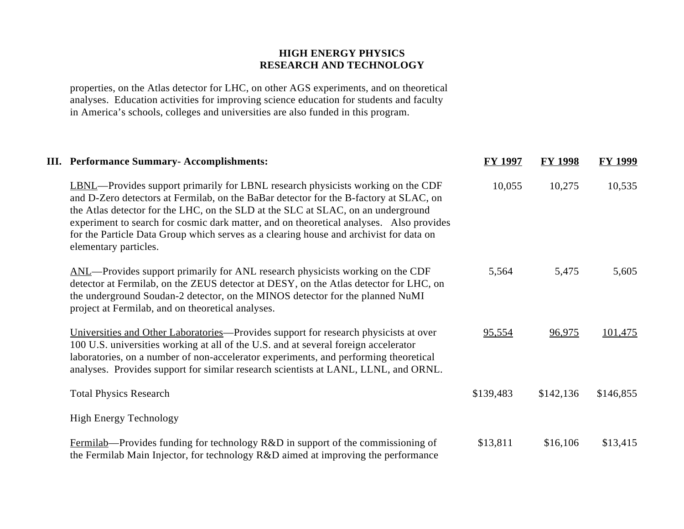properties, on the Atlas detector for LHC, on other AGS experiments, and on theoretical analyses. Education activities for improving science education for students and faculty in America's schools, colleges and universities are also funded in this program.

| <b>III.</b> Performance Summary- Accomplishments:                                                                                                                                                                                                                                                                                                                                                                                                                                  | <b>FY 1997</b> | <b>FY 1998</b> | <b>FY 1999</b> |
|------------------------------------------------------------------------------------------------------------------------------------------------------------------------------------------------------------------------------------------------------------------------------------------------------------------------------------------------------------------------------------------------------------------------------------------------------------------------------------|----------------|----------------|----------------|
| <b>LBNL</b> —Provides support primarily for LBNL research physicists working on the CDF<br>and D-Zero detectors at Fermilab, on the BaBar detector for the B-factory at SLAC, on<br>the Atlas detector for the LHC, on the SLD at the SLC at SLAC, on an underground<br>experiment to search for cosmic dark matter, and on theoretical analyses. Also provides<br>for the Particle Data Group which serves as a clearing house and archivist for data on<br>elementary particles. | 10,055         | 10,275         | 10,535         |
| ANL—Provides support primarily for ANL research physicists working on the CDF<br>detector at Fermilab, on the ZEUS detector at DESY, on the Atlas detector for LHC, on<br>the underground Soudan-2 detector, on the MINOS detector for the planned NuMI<br>project at Fermilab, and on theoretical analyses.                                                                                                                                                                       | 5,564          | 5,475          | 5,605          |
| Universities and Other Laboratories—Provides support for research physicists at over<br>100 U.S. universities working at all of the U.S. and at several foreign accelerator<br>laboratories, on a number of non-accelerator experiments, and performing theoretical<br>analyses. Provides support for similar research scientists at LANL, LLNL, and ORNL.                                                                                                                         | 95,554         | 96,975         | 101,475        |
| <b>Total Physics Research</b>                                                                                                                                                                                                                                                                                                                                                                                                                                                      | \$139,483      | \$142,136      | \$146,855      |
| <b>High Energy Technology</b>                                                                                                                                                                                                                                                                                                                                                                                                                                                      |                |                |                |
| Fermilab—Provides funding for technology R&D in support of the commissioning of<br>the Fermilab Main Injector, for technology R&D aimed at improving the performance                                                                                                                                                                                                                                                                                                               | \$13,811       | \$16,106       | \$13,415       |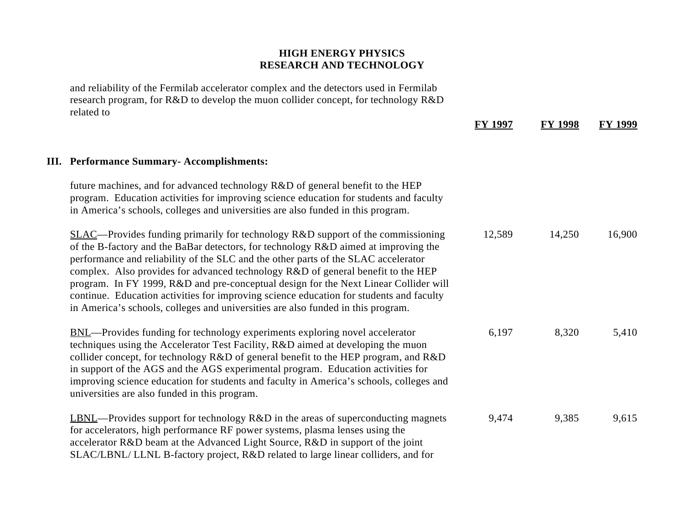and reliability of the Fermilab accelerator complex and the detectors used in Fermilab research program, for R&D to develop the muon collider concept, for technology R&D related to

|                                                                                                                                                                                                                                                                                                                                                                                                                                                                                                                                                                                                                            | <b>FY 1997</b> | <b>FY 1998</b> | FY 1999 |
|----------------------------------------------------------------------------------------------------------------------------------------------------------------------------------------------------------------------------------------------------------------------------------------------------------------------------------------------------------------------------------------------------------------------------------------------------------------------------------------------------------------------------------------------------------------------------------------------------------------------------|----------------|----------------|---------|
| <b>III.</b> Performance Summary- Accomplishments:                                                                                                                                                                                                                                                                                                                                                                                                                                                                                                                                                                          |                |                |         |
| future machines, and for advanced technology R&D of general benefit to the HEP<br>program. Education activities for improving science education for students and faculty<br>in America's schools, colleges and universities are also funded in this program.                                                                                                                                                                                                                                                                                                                                                               |                |                |         |
| $SLAC$ —Provides funding primarily for technology R&D support of the commissioning<br>of the B-factory and the BaBar detectors, for technology R&D aimed at improving the<br>performance and reliability of the SLC and the other parts of the SLAC accelerator<br>complex. Also provides for advanced technology R&D of general benefit to the HEP<br>program. In FY 1999, R&D and pre-conceptual design for the Next Linear Collider will<br>continue. Education activities for improving science education for students and faculty<br>in America's schools, colleges and universities are also funded in this program. | 12,589         | 14,250         | 16,900  |
| <b>BNL</b> —Provides funding for technology experiments exploring novel accelerator<br>techniques using the Accelerator Test Facility, R&D aimed at developing the muon<br>collider concept, for technology R&D of general benefit to the HEP program, and R&D<br>in support of the AGS and the AGS experimental program. Education activities for<br>improving science education for students and faculty in America's schools, colleges and<br>universities are also funded in this program.                                                                                                                             | 6,197          | 8,320          | 5,410   |
| LBNL—Provides support for technology R&D in the areas of superconducting magnets<br>for accelerators, high performance RF power systems, plasma lenses using the<br>accelerator R&D beam at the Advanced Light Source, R&D in support of the joint<br>SLAC/LBNL/ LLNL B-factory project, R&D related to large linear colliders, and for                                                                                                                                                                                                                                                                                    | 9,474          | 9,385          | 9,615   |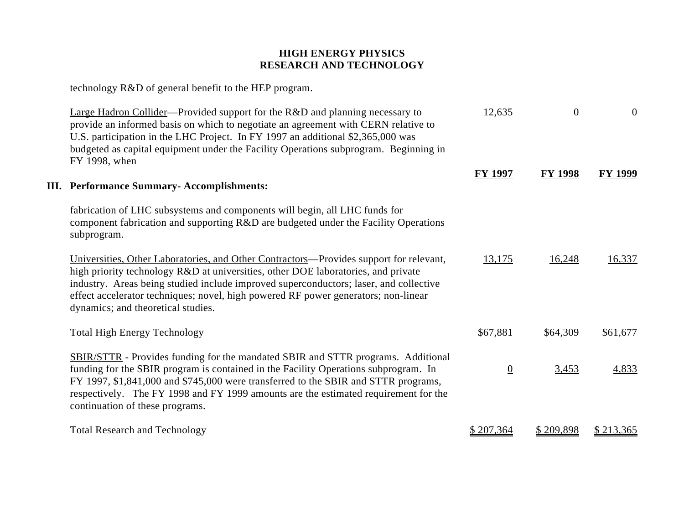technology R&D of general benefit to the HEP program.

| <b>Large Hadron Collider—Provided support for the R&amp;D and planning necessary to</b><br>provide an informed basis on which to negotiate an agreement with CERN relative to<br>U.S. participation in the LHC Project. In FY 1997 an additional \$2,365,000 was<br>budgeted as capital equipment under the Facility Operations subprogram. Beginning in<br>FY 1998, when                        | 12,635         | $\overline{0}$ | $\overline{0}$ |
|--------------------------------------------------------------------------------------------------------------------------------------------------------------------------------------------------------------------------------------------------------------------------------------------------------------------------------------------------------------------------------------------------|----------------|----------------|----------------|
| <b>III.</b> Performance Summary-Accomplishments:                                                                                                                                                                                                                                                                                                                                                 | <b>FY 1997</b> | <b>FY 1998</b> | <b>FY 1999</b> |
| fabrication of LHC subsystems and components will begin, all LHC funds for<br>component fabrication and supporting R&D are budgeted under the Facility Operations<br>subprogram.                                                                                                                                                                                                                 |                |                |                |
| Universities, Other Laboratories, and Other Contractors—Provides support for relevant,<br>high priority technology R&D at universities, other DOE laboratories, and private<br>industry. Areas being studied include improved superconductors; laser, and collective<br>effect accelerator techniques; novel, high powered RF power generators; non-linear<br>dynamics; and theoretical studies. | 13,175         | 16,248         | 16,337         |
| <b>Total High Energy Technology</b>                                                                                                                                                                                                                                                                                                                                                              | \$67,881       | \$64,309       | \$61,677       |
| <b>SBIR/STTR</b> - Provides funding for the mandated SBIR and STTR programs. Additional<br>funding for the SBIR program is contained in the Facility Operations subprogram. In<br>FY 1997, \$1,841,000 and \$745,000 were transferred to the SBIR and STTR programs,<br>respectively. The FY 1998 and FY 1999 amounts are the estimated requirement for the<br>continuation of these programs.   | $\overline{0}$ | 3,453          | 4,833          |
| <b>Total Research and Technology</b>                                                                                                                                                                                                                                                                                                                                                             | \$207,364      | \$209,898      | \$213,365      |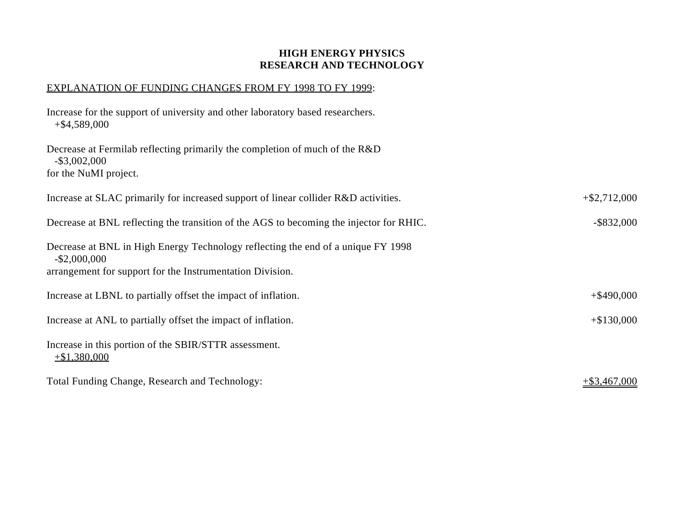#### EXPLANATION OF FUNDING CHANGES FROM FY 1998 TO FY 1999:

| Increase for the support of university and other laboratory based researchers.<br>$+$ \$4,589,000                                                                |                 |
|------------------------------------------------------------------------------------------------------------------------------------------------------------------|-----------------|
| Decrease at Fermilab reflecting primarily the completion of much of the R&D<br>$-$ \$3,002,000<br>for the NuMI project.                                          |                 |
| Increase at SLAC primarily for increased support of linear collider R&D activities.                                                                              | $+$ \$2,712,000 |
| Decrease at BNL reflecting the transition of the AGS to becoming the injector for RHIC.                                                                          | $-$ \$832,000   |
| Decrease at BNL in High Energy Technology reflecting the end of a unique FY 1998<br>$-$ \$2,000,000<br>arrangement for support for the Instrumentation Division. |                 |
| Increase at LBNL to partially offset the impact of inflation.                                                                                                    | $+$ \$490,000   |
| Increase at ANL to partially offset the impact of inflation.                                                                                                     | $+$ \$130,000   |
| Increase in this portion of the SBIR/STTR assessment.<br>$+ $1,380,000$                                                                                          |                 |
| Total Funding Change, Research and Technology:                                                                                                                   | $+$ \$3,467,000 |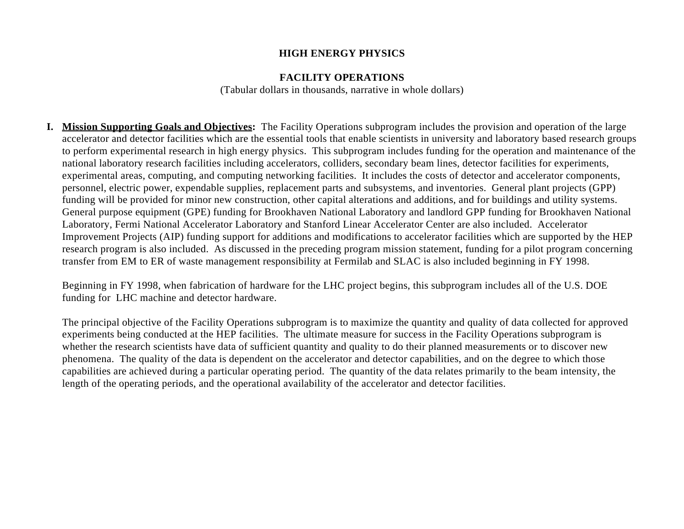#### **HIGH ENERGY PHYSICS**

#### **FACILITY OPERATIONS**

(Tabular dollars in thousands, narrative in whole dollars)

**I. Mission Supporting Goals and Objectives:** The Facility Operations subprogram includes the provision and operation of the large accelerator and detector facilities which are the essential tools that enable scientists in university and laboratory based research groups to perform experimental research in high energy physics. This subprogram includes funding for the operation and maintenance of the national laboratory research facilities including accelerators, colliders, secondary beam lines, detector facilities for experiments, experimental areas, computing, and computing networking facilities. It includes the costs of detector and accelerator components, personnel, electric power, expendable supplies, replacement parts and subsystems, and inventories. General plant projects (GPP) funding will be provided for minor new construction, other capital alterations and additions, and for buildings and utility systems. General purpose equipment (GPE) funding for Brookhaven National Laboratory and landlord GPP funding for Brookhaven National Laboratory, Fermi National Accelerator Laboratory and Stanford Linear Accelerator Center are also included. Accelerator Improvement Projects (AIP) funding support for additions and modifications to accelerator facilities which are supported by the HEP research program is also included. As discussed in the preceding program mission statement, funding for a pilot program concerning transfer from EM to ER of waste management responsibility at Fermilab and SLAC is also included beginning in FY 1998.

Beginning in FY 1998, when fabrication of hardware for the LHC project begins, this subprogram includes all of the U.S. DOE funding for LHC machine and detector hardware.

The principal objective of the Facility Operations subprogram is to maximize the quantity and quality of data collected for approved experiments being conducted at the HEP facilities. The ultimate measure for success in the Facility Operations subprogram is whether the research scientists have data of sufficient quantity and quality to do their planned measurements or to discover new phenomena. The quality of the data is dependent on the accelerator and detector capabilities, and on the degree to which those capabilities are achieved during a particular operating period. The quantity of the data relates primarily to the beam intensity, the length of the operating periods, and the operational availability of the accelerator and detector facilities.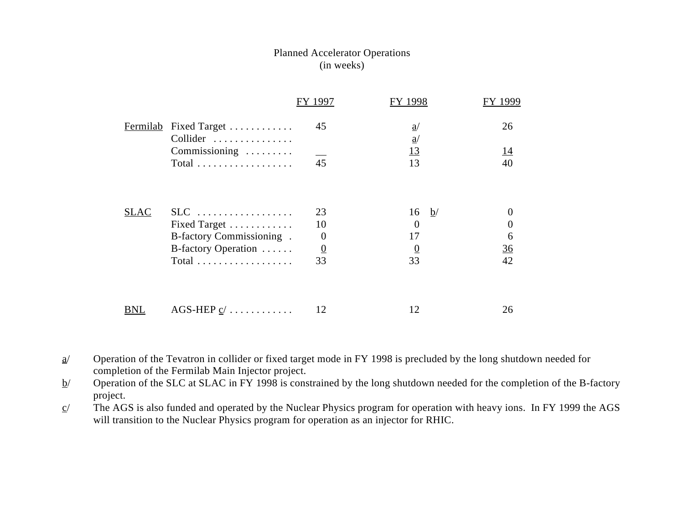#### Planned Accelerator Operations (in weeks)

|                 |                                              | FY 1997              | FY 1998                            | 1999                  |
|-----------------|----------------------------------------------|----------------------|------------------------------------|-----------------------|
| <b>Fermilab</b> | Fixed Target<br>Collider                     | 45                   | $\underline{a}$<br>$\underline{a}$ | 26                    |
|                 | Commissioning<br>Total                       | 45                   | <u>13</u><br>13                    | <u> 14</u><br>40      |
| <b>SLAC</b>     | $SLC$                                        | 23                   | $\underline{b}$<br>16              |                       |
|                 | Fixed Target<br>B-factory Commissioning.     | 10<br>$\overline{0}$ | $\theta$<br>17                     | $\boldsymbol{0}$<br>6 |
|                 | B-factory Operation                          | $\overline{0}$       | $\overline{0}$                     | 36                    |
|                 | $Total$                                      | 33                   | 33                                 | 42                    |
| BNL             | AGS-HEP $\underline{c}/\ldots \ldots \ldots$ | 12                   | 12                                 | 26                    |
|                 |                                              |                      |                                    |                       |

 $a$  Operation of the Tevatron in collider or fixed target mode in FY 1998 is precluded by the long shutdown needed for completion of the Fermilab Main Injector project.

 $b$  Operation of the SLC at SLAC in FY 1998 is constrained by the long shutdown needed for the completion of the B-factory project.

 $c$  The AGS is also funded and operated by the Nuclear Physics program for operation with heavy ions. In FY 1999 the AGS will transition to the Nuclear Physics program for operation as an injector for RHIC.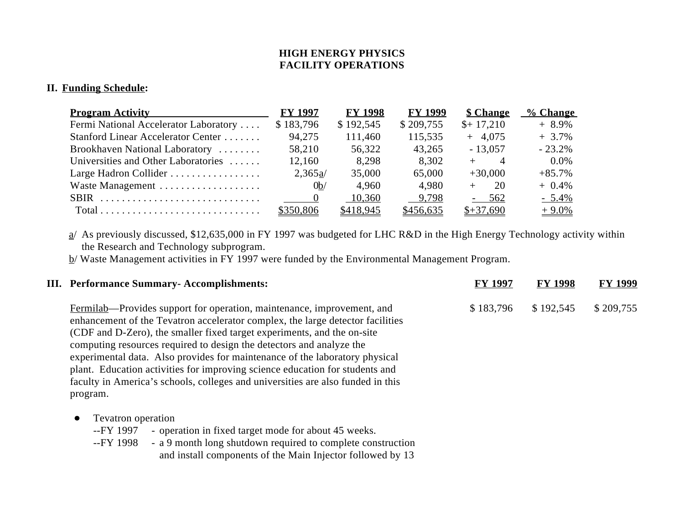#### **II. Funding Schedule:**

| <b>Program Activity</b>                                                   | <b>FY 1997</b> | <b>FY 1998</b> | <b>FY 1999</b> | <b>\$ Change</b>          | % Change |
|---------------------------------------------------------------------------|----------------|----------------|----------------|---------------------------|----------|
| Fermi National Accelerator Laboratory                                     | \$183,796      | \$192,545      | \$209,755      | $$+17,210$                | $+8.9\%$ |
| Stanford Linear Accelerator Center                                        | 94,275         | 111,460        | 115,535        | $+ 4,075$                 | $+3.7%$  |
| Brookhaven National Laboratory                                            | 58,210         | 56,322         | 43,265         | $-13,057$                 | $-23.2%$ |
| Universities and Other Laboratories                                       | 12,160         | 8,298          | 8,302          | $\overline{A}$<br>$+$ $-$ | $0.0\%$  |
| Large Hadron Collider                                                     | 2,365a/        | 35,000         | 65,000         | $+30,000$                 | $+85.7%$ |
| Waste Management                                                          | 0 <sub>b</sub> | 4,960          | 4.980          | -20                       | $+0.4\%$ |
| SBIR                                                                      | $\sim$ 0       | 10,360         | 9,798          | $-562$                    | $-5.4\%$ |
| $Total \dots \dots \dots \dots \dots \dots \dots \dots \dots \dots \dots$ | \$350,806      | \$418,945      | \$456,635      | $$+37,690$                | $+9.0\%$ |

a/ As previously discussed, \$12,635,000 in FY 1997 was budgeted for LHC R&D in the High Energy Technology activity within the Research and Technology subprogram.

b/ Waste Management activities in FY 1997 were funded by the Environmental Management Program.

| <b>III.</b> Performance Summary-Accomplishments:                                                                                                                                                                                                                                                                                                                                                                                                                                                                                                                          | <b>FY 1997</b> | <b>FY 1998</b> | <b>FY 1999</b> |
|---------------------------------------------------------------------------------------------------------------------------------------------------------------------------------------------------------------------------------------------------------------------------------------------------------------------------------------------------------------------------------------------------------------------------------------------------------------------------------------------------------------------------------------------------------------------------|----------------|----------------|----------------|
| Fermilab—Provides support for operation, maintenance, improvement, and<br>enhancement of the Tevatron accelerator complex, the large detector facilities<br>(CDF and D-Zero), the smaller fixed target experiments, and the on-site<br>computing resources required to design the detectors and analyze the<br>experimental data. Also provides for maintenance of the laboratory physical<br>plant. Education activities for improving science education for students and<br>faculty in America's schools, colleges and universities are also funded in this<br>program. | \$183,796      | \$192,545      | \$209,755      |
| Tevatron operation<br>$\bullet$<br>- operation in fixed target mode for about 45 weeks.<br>--FY 1997<br>a 0 month lang shutdown required to complete construction<br><b>EV 1000</b>                                                                                                                                                                                                                                                                                                                                                                                       |                |                |                |

--FY 1998 - a 9 month long shutdown required to complete construction and install components of the Main Injector followed by 13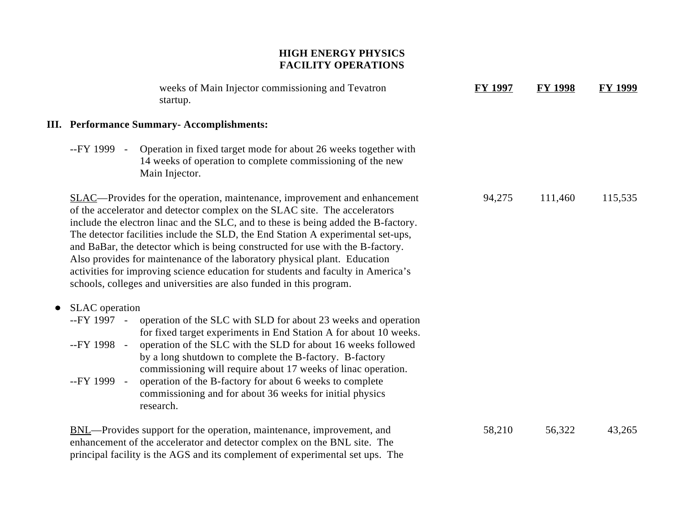| weeks of Main Injector commissioning and Tevatron<br>startup.                                                                                                                                                                                                                                                                                                                                                                                                                                                                                                                                                                                                      | <b>FY 1997</b> | <b>FY 1998</b> | <b>FY 1999</b> |
|--------------------------------------------------------------------------------------------------------------------------------------------------------------------------------------------------------------------------------------------------------------------------------------------------------------------------------------------------------------------------------------------------------------------------------------------------------------------------------------------------------------------------------------------------------------------------------------------------------------------------------------------------------------------|----------------|----------------|----------------|
| <b>III. Performance Summary-Accomplishments:</b>                                                                                                                                                                                                                                                                                                                                                                                                                                                                                                                                                                                                                   |                |                |                |
| --FY 1999 - Operation in fixed target mode for about 26 weeks together with<br>14 weeks of operation to complete commissioning of the new<br>Main Injector.                                                                                                                                                                                                                                                                                                                                                                                                                                                                                                        |                |                |                |
| <b>SLAC—Provides for the operation, maintenance, improvement and enhancement</b><br>of the accelerator and detector complex on the SLAC site. The accelerators<br>include the electron linac and the SLC, and to these is being added the B-factory.<br>The detector facilities include the SLD, the End Station A experimental set-ups,<br>and BaBar, the detector which is being constructed for use with the B-factory.<br>Also provides for maintenance of the laboratory physical plant. Education<br>activities for improving science education for students and faculty in America's<br>schools, colleges and universities are also funded in this program. | 94,275         | 111,460        | 115,535        |
| <b>SLAC</b> operation<br>--FY 1997 -<br>operation of the SLC with SLD for about 23 weeks and operation<br>for fixed target experiments in End Station A for about 10 weeks.<br>operation of the SLC with the SLD for about 16 weeks followed<br>--FY 1998 -<br>by a long shutdown to complete the B-factory. B-factory<br>commissioning will require about 17 weeks of linac operation.<br>--FY 1999 -<br>operation of the B-factory for about 6 weeks to complete<br>commissioning and for about 36 weeks for initial physics<br>research.                                                                                                                        |                |                |                |
| <b>BNL</b> —Provides support for the operation, maintenance, improvement, and<br>enhancement of the accelerator and detector complex on the BNL site. The<br>principal facility is the AGS and its complement of experimental set ups. The                                                                                                                                                                                                                                                                                                                                                                                                                         | 58,210         | 56,322         | 43,265         |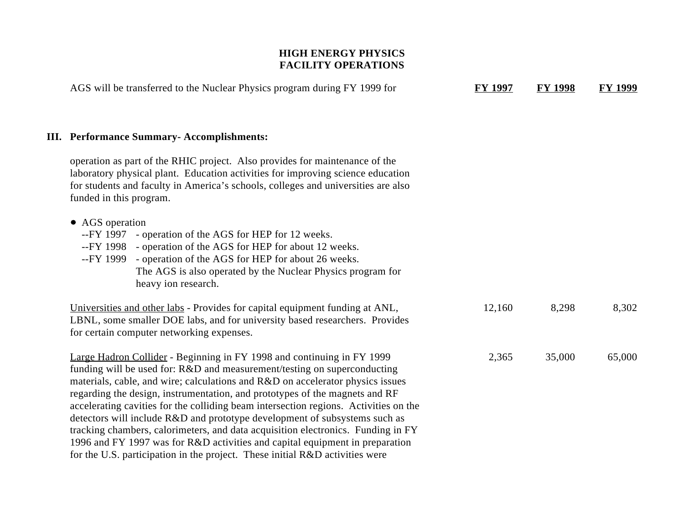| AGS will be transferred to the Nuclear Physics program during FY 1999 for                                                                                                                                                                                                                                                                                                                                                                                                                                                                                                                                                                                                                                                                     | <b>FY 1997</b> | <b>FY 1998</b> | <b>FY 1999</b> |
|-----------------------------------------------------------------------------------------------------------------------------------------------------------------------------------------------------------------------------------------------------------------------------------------------------------------------------------------------------------------------------------------------------------------------------------------------------------------------------------------------------------------------------------------------------------------------------------------------------------------------------------------------------------------------------------------------------------------------------------------------|----------------|----------------|----------------|
| <b>III. Performance Summary-Accomplishments:</b>                                                                                                                                                                                                                                                                                                                                                                                                                                                                                                                                                                                                                                                                                              |                |                |                |
| operation as part of the RHIC project. Also provides for maintenance of the<br>laboratory physical plant. Education activities for improving science education<br>for students and faculty in America's schools, colleges and universities are also<br>funded in this program.                                                                                                                                                                                                                                                                                                                                                                                                                                                                |                |                |                |
| • AGS operation<br>--FY 1997<br>- operation of the AGS for HEP for 12 weeks.<br>--FY 1998 - operation of the AGS for HEP for about 12 weeks.<br>--FY 1999 - operation of the AGS for HEP for about 26 weeks.<br>The AGS is also operated by the Nuclear Physics program for<br>heavy ion research.                                                                                                                                                                                                                                                                                                                                                                                                                                            |                |                |                |
| Universities and other labs - Provides for capital equipment funding at ANL,<br>LBNL, some smaller DOE labs, and for university based researchers. Provides<br>for certain computer networking expenses.                                                                                                                                                                                                                                                                                                                                                                                                                                                                                                                                      | 12,160         | 8,298          | 8,302          |
| Large Hadron Collider - Beginning in FY 1998 and continuing in FY 1999<br>funding will be used for: R&D and measurement/testing on superconducting<br>materials, cable, and wire; calculations and R&D on accelerator physics issues<br>regarding the design, instrumentation, and prototypes of the magnets and RF<br>accelerating cavities for the colliding beam intersection regions. Activities on the<br>detectors will include R&D and prototype development of subsystems such as<br>tracking chambers, calorimeters, and data acquisition electronics. Funding in FY<br>1996 and FY 1997 was for R&D activities and capital equipment in preparation<br>for the U.S. participation in the project. These initial R&D activities were | 2,365          | 35,000         | 65,000         |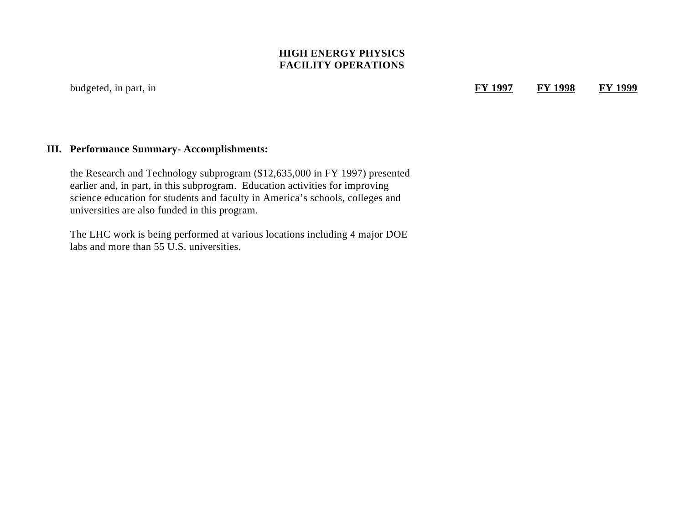budgeted, in part, in

**FY 1997 FY 1998 FY 1999**

#### **III. Performance Summary- Accomplishments:**

the Research and Technology subprogram (\$12,635,000 in FY 1997) presented earlier and, in part, in this subprogram. Education activities for improving science education for students and faculty in America's schools, colleges and universities are also funded in this program.

The LHC work is being performed at various locations including 4 major DOE labs and more than 55 U.S. universities.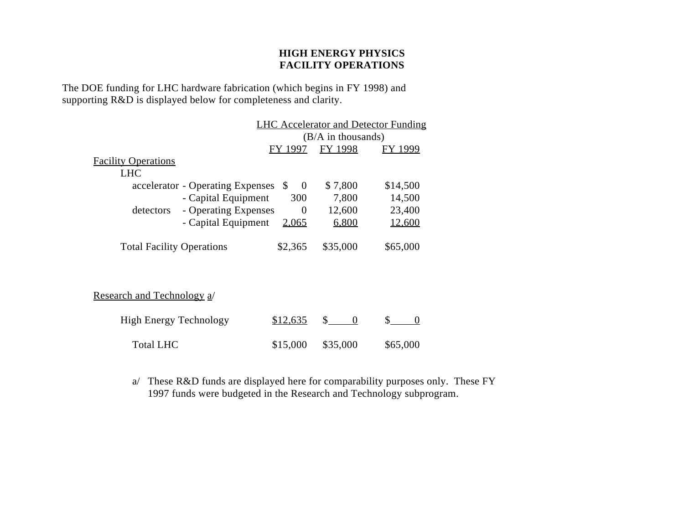The DOE funding for LHC hardware fabrication (which begins in FY 1998) and supporting R&D is displayed below for completeness and clarity.

|                                  |                                  |                      |                       | <b>LHC Accelerator and Detector Funding</b> |
|----------------------------------|----------------------------------|----------------------|-----------------------|---------------------------------------------|
|                                  |                                  |                      | $(B/A)$ in thousands) |                                             |
|                                  |                                  | FY 1997              | FY 1998               | FY 1999                                     |
| <b>Facility Operations</b>       |                                  |                      |                       |                                             |
| <b>LHC</b>                       |                                  |                      |                       |                                             |
|                                  | accelerator - Operating Expenses | <sup>\$</sup><br>- 0 | \$7,800               | \$14,500                                    |
|                                  | - Capital Equipment              | 300                  | 7,800                 | 14,500                                      |
| detectors                        | - Operating Expenses             | $\Omega$             | 12,600                | 23,400                                      |
|                                  | - Capital Equipment              | 2,065                | 6,800                 | 12,600                                      |
|                                  |                                  |                      |                       |                                             |
| <b>Total Facility Operations</b> |                                  | \$2,365              | \$35,000              | \$65,000                                    |
|                                  |                                  |                      |                       |                                             |

Research and Technology a/

| High Energy Technology | \$12,635            |          |
|------------------------|---------------------|----------|
| Total LHC              | $$15,000$ $$35,000$ | \$65,000 |

a/ These R&D funds are displayed here for comparability purposes only. These FY 1997 funds were budgeted in the Research and Technology subprogram.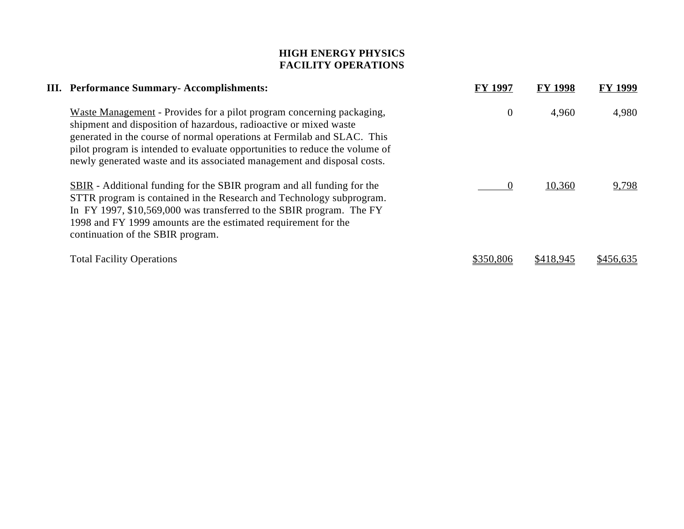| III. Performance Summary-Accomplishments:                                                                                                                                                                                                                                                                                                                                       | <b>FY 1997</b> | <b>FY 1998</b> | <b>FY 1999</b> |
|---------------------------------------------------------------------------------------------------------------------------------------------------------------------------------------------------------------------------------------------------------------------------------------------------------------------------------------------------------------------------------|----------------|----------------|----------------|
| Waste Management - Provides for a pilot program concerning packaging,<br>shipment and disposition of hazardous, radioactive or mixed waste<br>generated in the course of normal operations at Fermilab and SLAC. This<br>pilot program is intended to evaluate opportunities to reduce the volume of<br>newly generated waste and its associated management and disposal costs. | $\overline{0}$ | 4,960          | 4,980          |
| <b>SBIR</b> - Additional funding for the SBIR program and all funding for the<br>STTR program is contained in the Research and Technology subprogram.<br>In FY 1997, \$10,569,000 was transferred to the SBIR program. The FY<br>1998 and FY 1999 amounts are the estimated requirement for the<br>continuation of the SBIR program.                                            |                | 10,360         | 9,798          |
| <b>Total Facility Operations</b>                                                                                                                                                                                                                                                                                                                                                | \$350.806      |                |                |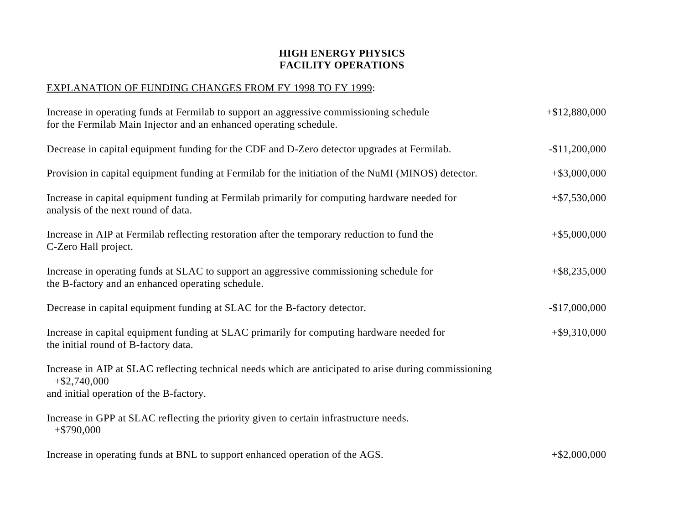#### EXPLANATION OF FUNDING CHANGES FROM FY 1998 TO FY 1999:

| Increase in operating funds at Fermilab to support an aggressive commissioning schedule<br>for the Fermilab Main Injector and an enhanced operating schedule.        | $+$ \$12,880,000 |
|----------------------------------------------------------------------------------------------------------------------------------------------------------------------|------------------|
| Decrease in capital equipment funding for the CDF and D-Zero detector upgrades at Fermilab.                                                                          | $-$11,200,000$   |
| Provision in capital equipment funding at Fermilab for the initiation of the NuMI (MINOS) detector.                                                                  | $+$ \$3,000,000  |
| Increase in capital equipment funding at Fermilab primarily for computing hardware needed for<br>analysis of the next round of data.                                 | $+ $7,530,000$   |
| Increase in AIP at Fermilab reflecting restoration after the temporary reduction to fund the<br>C-Zero Hall project.                                                 | $+$ \$5,000,000  |
| Increase in operating funds at SLAC to support an aggressive commissioning schedule for<br>the B-factory and an enhanced operating schedule.                         | $+$ \$8,235,000  |
| Decrease in capital equipment funding at SLAC for the B-factory detector.                                                                                            | $-$17,000,000$   |
| Increase in capital equipment funding at SLAC primarily for computing hardware needed for<br>the initial round of B-factory data.                                    | $+$ \$9,310,000  |
| Increase in AIP at SLAC reflecting technical needs which are anticipated to arise during commissioning<br>$+$ \$2,740,000<br>and initial operation of the B-factory. |                  |
| Increase in GPP at SLAC reflecting the priority given to certain infrastructure needs.<br>$+$ \$790,000                                                              |                  |
| Increase in operating funds at BNL to support enhanced operation of the AGS.                                                                                         | $+$ \$2,000,000  |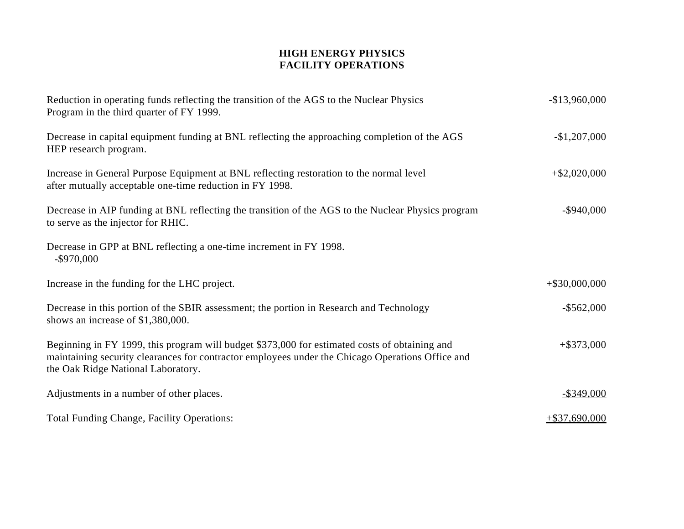| Reduction in operating funds reflecting the transition of the AGS to the Nuclear Physics<br>Program in the third quarter of FY 1999.                                                                                                    | $-$13,960,000$   |
|-----------------------------------------------------------------------------------------------------------------------------------------------------------------------------------------------------------------------------------------|------------------|
| Decrease in capital equipment funding at BNL reflecting the approaching completion of the AGS<br>HEP research program.                                                                                                                  | $-$1,207,000$    |
| Increase in General Purpose Equipment at BNL reflecting restoration to the normal level<br>after mutually acceptable one-time reduction in FY 1998.                                                                                     | $+$ \$2,020,000  |
| Decrease in AIP funding at BNL reflecting the transition of the AGS to the Nuclear Physics program<br>to serve as the injector for RHIC.                                                                                                | $-$ \$940,000    |
| Decrease in GPP at BNL reflecting a one-time increment in FY 1998.<br>$-$ \$970,000                                                                                                                                                     |                  |
| Increase in the funding for the LHC project.                                                                                                                                                                                            | $+$ \$30,000,000 |
| Decrease in this portion of the SBIR assessment; the portion in Research and Technology<br>shows an increase of \$1,380,000.                                                                                                            | $-$ \$562,000    |
| Beginning in FY 1999, this program will budget \$373,000 for estimated costs of obtaining and<br>maintaining security clearances for contractor employees under the Chicago Operations Office and<br>the Oak Ridge National Laboratory. | $+$ \$373,000    |
| Adjustments in a number of other places.                                                                                                                                                                                                | $-$ \$349,000    |
| <b>Total Funding Change, Facility Operations:</b>                                                                                                                                                                                       | $+ $37,690,000$  |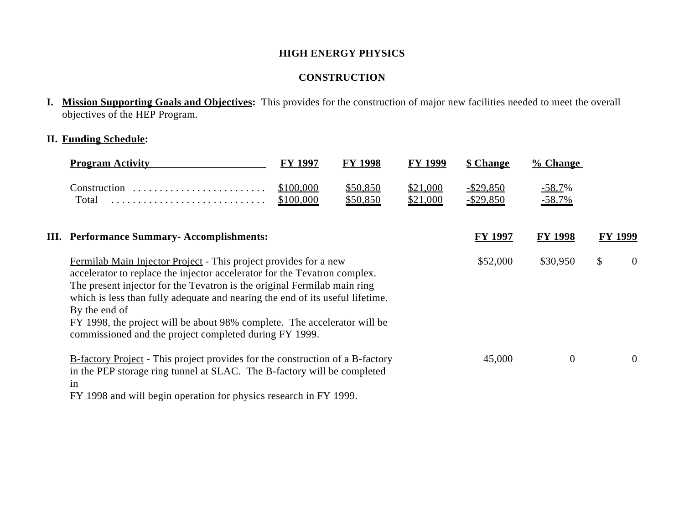#### **HIGH ENERGY PHYSICS**

## **CONSTRUCTION**

**I. Mission Supporting Goals and Objectives:** This provides for the construction of major new facilities needed to meet the overall objectives of the HEP Program.

### **II. Funding Schedule:**

| <b>Program Activity</b>                                                                                                                                                                                                                                                                                                                                                                                                                                           | <b>FY 1997</b>         | <b>FY 1998</b>       | <b>FY 1999</b>       | <b>\$ Change</b>                 | % <b>Change</b>       |         |                |
|-------------------------------------------------------------------------------------------------------------------------------------------------------------------------------------------------------------------------------------------------------------------------------------------------------------------------------------------------------------------------------------------------------------------------------------------------------------------|------------------------|----------------------|----------------------|----------------------------------|-----------------------|---------|----------------|
| Construction<br>Total                                                                                                                                                                                                                                                                                                                                                                                                                                             | \$100,000<br>\$100,000 | \$50,850<br>\$50,850 | \$21,000<br>\$21,000 | <u>-\$29,850</u><br>$-$ \$29,850 | $-58.7\%$<br>$-58.7%$ |         |                |
| <b>III.</b> Performance Summary-Accomplishments:                                                                                                                                                                                                                                                                                                                                                                                                                  |                        |                      |                      | <b>FY 1997</b>                   | <b>FY 1998</b>        | FY 1999 |                |
| Fermilab Main Injector Project - This project provides for a new<br>accelerator to replace the injector accelerator for the Tevatron complex.<br>The present injector for the Tevatron is the original Fermilab main ring<br>which is less than fully adequate and nearing the end of its useful lifetime.<br>By the end of<br>FY 1998, the project will be about 98% complete. The accelerator will be<br>commissioned and the project completed during FY 1999. |                        |                      |                      | \$52,000                         | \$30,950              | \$      | $\overline{0}$ |
| <b>B-factory Project</b> - This project provides for the construction of a B-factory<br>in the PEP storage ring tunnel at SLAC. The B-factory will be completed<br>1n                                                                                                                                                                                                                                                                                             |                        |                      |                      | 45,000                           | $\theta$              |         | $\overline{0}$ |

FY 1998 and will begin operation for physics research in FY 1999.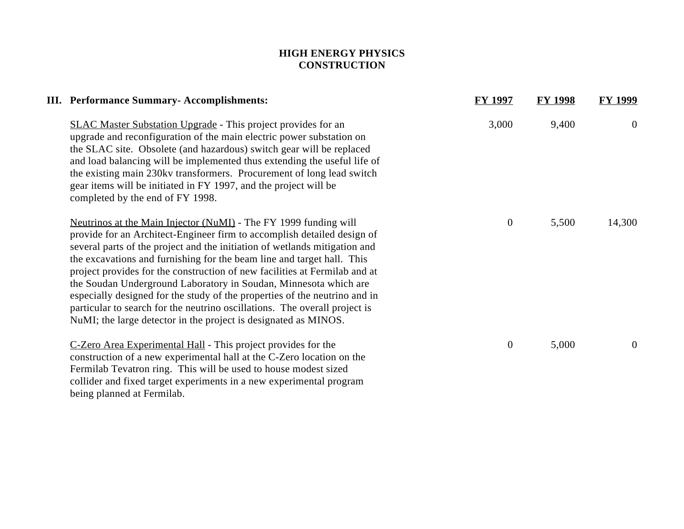## **HIGH ENERGY PHYSICS CONSTRUCTION**

| III. Performance Summary-Accomplishments:                                                                                                                                                                                                                                                                                                                                                                                                                                                                                                                                                                                                                                            | <b>FY 1997</b>   | <b>FY 1998</b> | <b>FY 1999</b> |
|--------------------------------------------------------------------------------------------------------------------------------------------------------------------------------------------------------------------------------------------------------------------------------------------------------------------------------------------------------------------------------------------------------------------------------------------------------------------------------------------------------------------------------------------------------------------------------------------------------------------------------------------------------------------------------------|------------------|----------------|----------------|
| <b>SLAC Master Substation Upgrade</b> - This project provides for an<br>upgrade and reconfiguration of the main electric power substation on<br>the SLAC site. Obsolete (and hazardous) switch gear will be replaced<br>and load balancing will be implemented thus extending the useful life of<br>the existing main 230kv transformers. Procurement of long lead switch<br>gear items will be initiated in FY 1997, and the project will be<br>completed by the end of FY 1998.                                                                                                                                                                                                    | 3,000            | 9,400          | $\overline{0}$ |
| Neutrinos at the Main Injector (NuMI) - The FY 1999 funding will<br>provide for an Architect-Engineer firm to accomplish detailed design of<br>several parts of the project and the initiation of wetlands mitigation and<br>the excavations and furnishing for the beam line and target hall. This<br>project provides for the construction of new facilities at Fermilab and at<br>the Soudan Underground Laboratory in Soudan, Minnesota which are<br>especially designed for the study of the properties of the neutrino and in<br>particular to search for the neutrino oscillations. The overall project is<br>NuMI; the large detector in the project is designated as MINOS. | $\boldsymbol{0}$ | 5,500          | 14,300         |
| C-Zero Area Experimental Hall - This project provides for the<br>construction of a new experimental hall at the C-Zero location on the<br>Fermilab Tevatron ring. This will be used to house modest sized<br>collider and fixed target experiments in a new experimental program                                                                                                                                                                                                                                                                                                                                                                                                     | $\overline{0}$   | 5,000          | $\overline{0}$ |

being planned at Fermilab.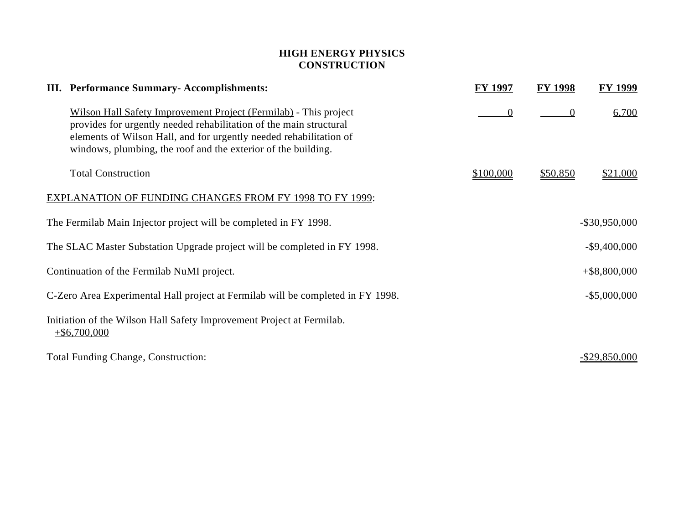## **HIGH ENERGY PHYSICS CONSTRUCTION**

| III. Performance Summary-Accomplishments:                                                                                                                                                                                                                                     | FY 1997   | <b>FY 1998</b> | FY 1999              |
|-------------------------------------------------------------------------------------------------------------------------------------------------------------------------------------------------------------------------------------------------------------------------------|-----------|----------------|----------------------|
| Wilson Hall Safety Improvement Project (Fermilab) - This project<br>provides for urgently needed rehabilitation of the main structural<br>elements of Wilson Hall, and for urgently needed rehabilitation of<br>windows, plumbing, the roof and the exterior of the building. | $\theta$  | $\Omega$       | 6,700                |
| <b>Total Construction</b>                                                                                                                                                                                                                                                     | \$100,000 | \$50,850       | \$21,000             |
| <b>EXPLANATION OF FUNDING CHANGES FROM FY 1998 TO FY 1999:</b>                                                                                                                                                                                                                |           |                |                      |
| The Fermilab Main Injector project will be completed in FY 1998.                                                                                                                                                                                                              |           |                | $-$ \$30,950,000     |
| The SLAC Master Substation Upgrade project will be completed in FY 1998.                                                                                                                                                                                                      |           |                | $-$ \$9,400,000      |
| Continuation of the Fermilab NuMI project.                                                                                                                                                                                                                                    |           |                | $+$ \$8,800,000      |
| C-Zero Area Experimental Hall project at Fermilab will be completed in FY 1998.                                                                                                                                                                                               |           |                | $-$ \$5,000,000      |
| Initiation of the Wilson Hall Safety Improvement Project at Fermilab.<br>$+$ \$6,700,000                                                                                                                                                                                      |           |                |                      |
| <b>Total Funding Change, Construction:</b>                                                                                                                                                                                                                                    |           |                | <u>-\$29,850,000</u> |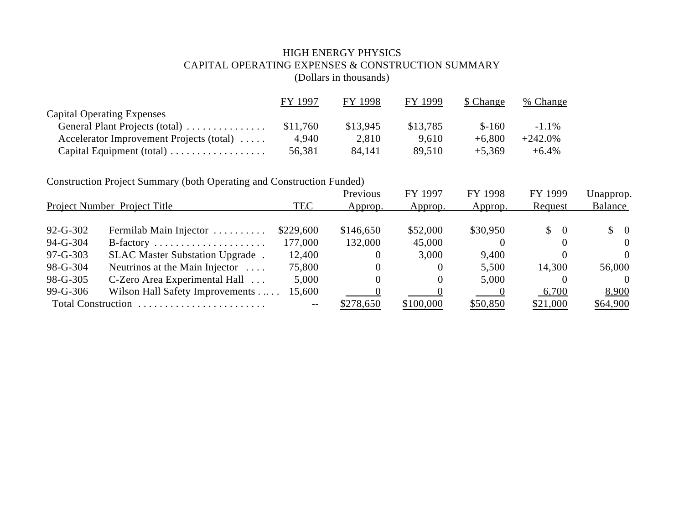## HIGH ENERGY PHYSICS CAPITAL OPERATING EXPENSES & CONSTRUCTION SUMMARY (Dollars in thousands)

|                                          | FY 1997  | FY 1998  | FY 1999  | \$ Change | % Change   |
|------------------------------------------|----------|----------|----------|-----------|------------|
| <b>Capital Operating Expenses</b>        |          |          |          |           |            |
| General Plant Projects (total)           | \$11,760 | \$13.945 | \$13,785 | $$ -160$  | $-1.1\%$   |
| Accelerator Improvement Projects (total) | 4.940    | 2,810    | 9.610    | $+6.800$  | $+242.0\%$ |
| Capital Equipment (total)                | 56,381   | 84.141   | 89.510   | $+5.369$  | $+6.4\%$   |

Construction Project Summary (both Operating and Construction Funded)

|                | <b>Project Number Project Title</b>    | <b>TEC</b> | Previous<br>Approp. | FY 1997<br>Approp. | FY 1998<br>Approp.                  | FY 1999<br>Request              | Unapprop.<br>Balance            |
|----------------|----------------------------------------|------------|---------------------|--------------------|-------------------------------------|---------------------------------|---------------------------------|
| $92 - G - 302$ | Fermilab Main Injector                 | \$229,600  | \$146,650           | \$52,000           | \$30,950                            | $\begin{matrix} 0 \end{matrix}$ | $\begin{matrix} 0 \end{matrix}$ |
| $94-G-304$     | $B$ -factory                           | 177,000    | 132,000             | 45,000             | $\Omega$                            |                                 | $\Omega$                        |
| $97 - G - 303$ | SLAC Master Substation Upgrade.        | 12,400     | $\theta$            | 3,000              | 9,400                               |                                 | $\Omega$                        |
| 98-G-304       | Neutrinos at the Main Injector $\dots$ | 75,800     | $\Omega$            | $\theta$           | 5,500                               | 14,300                          | 56,000                          |
| 98-G-305       | C-Zero Area Experimental Hall          | 5,000      | 0                   | $\theta$           | 5,000                               |                                 | $\Omega$                        |
| 99-G-306       | Wilson Hall Safety Improvements        | 15,600     |                     |                    | $\begin{array}{cc} & 0 \end{array}$ | 6,700                           | 8,900                           |
|                | Total Construction                     | $-1$       | \$278,650           | \$100,000          | \$50,850                            | \$21,000                        | \$64,900                        |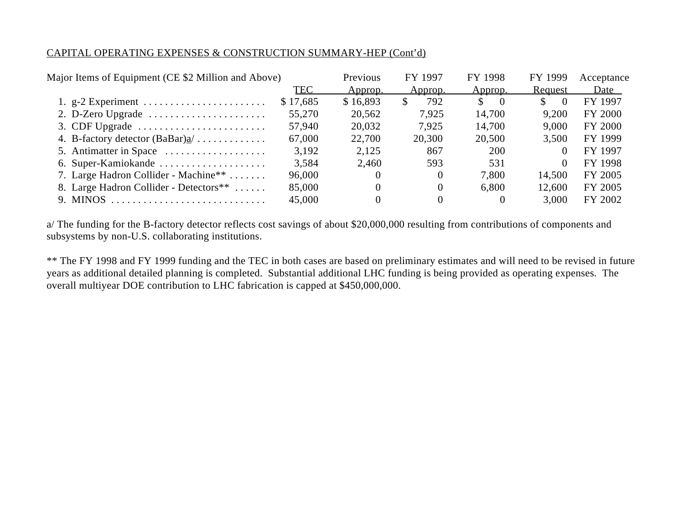#### CAPITAL OPERATING EXPENSES & CONSTRUCTION SUMMARY-HEP (Cont'd)

| Major Items of Equipment (CE \$2 Million and Above)          |          | Previous | FY 1997   | FY 1998                  | FY 1999  | Acceptance     |
|--------------------------------------------------------------|----------|----------|-----------|--------------------------|----------|----------------|
|                                                              | TEC      | Approp.  | Approp.   | Approp.                  | Request  | Date           |
| 1. $g-2$ Experiment                                          | \$17,685 | \$16,893 | 792<br>\$ | <sup>S</sup><br>$\theta$ | 0        | FY 1997        |
| 2. D-Zero Upgrade $\dots\dots\dots\dots\dots\dots\dots\dots$ | 55,270   | 20,562   | 7,925     | 14,700                   | 9.200    | FY 2000        |
| 3. CDF Upgrade $\dots \dots \dots \dots \dots \dots \dots$   | 57,940   | 20,032   | 7.925     | 14,700                   | 9.000    | <b>FY 2000</b> |
| 4. B-factory detector $(BaBar)a'$                            | 67,000   | 22,700   | 20,300    | 20,500                   | 3,500    | FY 1999        |
| 5. Antimatter in Space                                       | 3,192    | 2,125    | 867       | 200                      | $\theta$ | FY 1997        |
| 6. Super-Kamiokande                                          | 3,584    | 2,460    | 593       | 531                      |          | FY 1998        |
| 7. Large Hadron Collider - Machine <sup>**</sup>             | 96,000   | $\theta$ | 0         | 7,800                    | 14,500   | FY 2005        |
| 8. Large Hadron Collider - Detectors **                      | 85,000   | $_{0}$   | $\theta$  | 6,800                    | 12,600   | FY 2005        |
| 9. MINOS                                                     | 45,000   |          |           |                          | 3.000    | FY 2002        |
|                                                              |          |          |           |                          |          |                |

a/ The funding for the B-factory detector reflects cost savings of about \$20,000,000 resulting from contributions of components and subsystems by non-U.S. collaborating institutions.

\*\* The FY 1998 and FY 1999 funding and the TEC in both cases are based on preliminary estimates and will need to be revised in future years as additional detailed planning is completed. Substantial additional LHC funding is being provided as operating expenses. The overall multiyear DOE contribution to LHC fabrication is capped at \$450,000,000.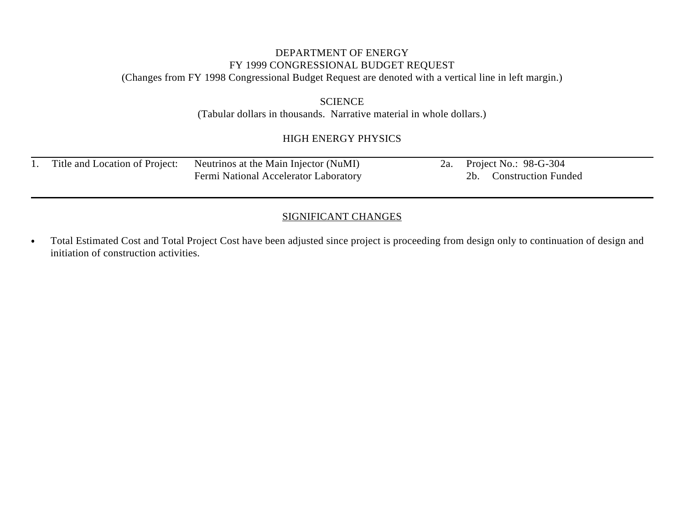# DEPARTMENT OF ENERGY FY 1999 CONGRESSIONAL BUDGET REQUEST

(Changes from FY 1998 Congressional Budget Request are denoted with a vertical line in left margin.)

#### **SCIENCE** (Tabular dollars in thousands. Narrative material in whole dollars.)

# HIGH ENERGY PHYSICS

|  | Title and Location of Project: Neutrinos at the Main Injector (NuMI) |  | 2a. Project No.: 98-G-304 |
|--|----------------------------------------------------------------------|--|---------------------------|
|  | Fermi National Accelerator Laboratory                                |  | 2b. Construction Funded   |

## SIGNIFICANT CHANGES

Total Estimated Cost and Total Project Cost have been adjusted since project is proceeding from design only to continuation of design and  $\bullet$ initiation of construction activities.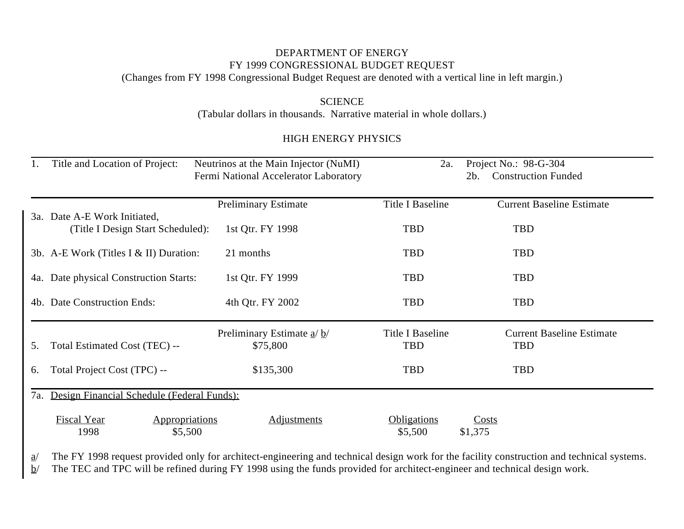# DEPARTMENT OF ENERGY FY 1999 CONGRESSIONAL BUDGET REQUEST

(Changes from FY 1998 Congressional Budget Request are denoted with a vertical line in left margin.)

# **SCIENCE**

(Tabular dollars in thousands. Narrative material in whole dollars.)

## HIGH ENERGY PHYSICS

|     | Title and Location of Project:                                    | Neutrinos at the Main Injector (NuMI)   | 2a.                           | Project No.: 98-G-304                          |
|-----|-------------------------------------------------------------------|-----------------------------------------|-------------------------------|------------------------------------------------|
|     |                                                                   | Fermi National Accelerator Laboratory   |                               | <b>Construction Funded</b><br>2b.              |
|     |                                                                   | <b>Preliminary Estimate</b>             | Title I Baseline              | <b>Current Baseline Estimate</b>               |
|     | 3a. Date A-E Work Initiated,<br>(Title I Design Start Scheduled): | 1st Qtr. FY 1998                        | <b>TBD</b>                    | <b>TBD</b>                                     |
|     | 3b. A-E Work (Titles I & II) Duration:                            | 21 months                               | TBD                           | TBD                                            |
|     | 4a. Date physical Construction Starts:                            | 1st Qtr. FY 1999                        | <b>TBD</b>                    | TBD                                            |
|     | 4b. Date Construction Ends:                                       | 4th Qtr. FY 2002                        | <b>TBD</b>                    | <b>TBD</b>                                     |
| 5.  | Total Estimated Cost (TEC) --                                     | Preliminary Estimate $a/b/$<br>\$75,800 | Title I Baseline<br>TBD       | <b>Current Baseline Estimate</b><br><b>TBD</b> |
| 6.  | Total Project Cost (TPC) --                                       | \$135,300                               | <b>TBD</b>                    | <b>TBD</b>                                     |
| 7a. | Design Financial Schedule (Federal Funds):                        |                                         |                               |                                                |
|     | Fiscal Year<br><b>Appropriations</b><br>1998<br>\$5,500           | <b>Adjustments</b>                      | <b>Obligations</b><br>\$5,500 | <b>Costs</b><br>\$1,375                        |

a/ The FY 1998 request provided only for architect-engineering and technical design work for the facility construction and technical systems.

 $b$  The TEC and TPC will be refined during FY 1998 using the funds provided for architect-engineer and technical design work.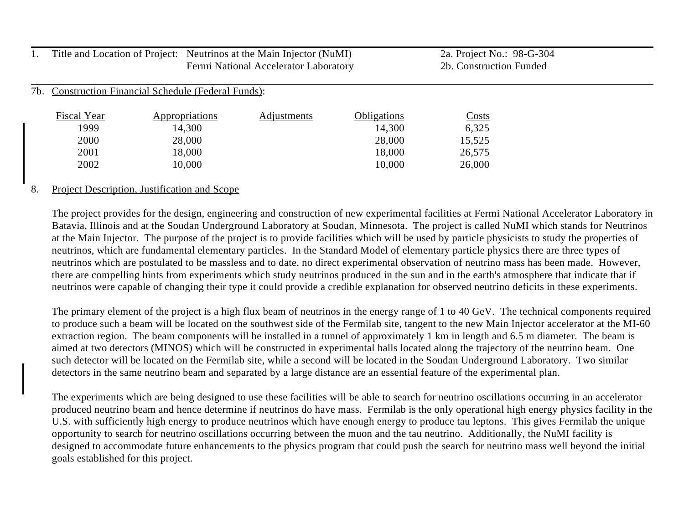|     |                    | Title and Location of Project: Neutrinos at the Main Injector (NuMI) |                                       |                    | 2a. Project No.: 98-G-304 |  |
|-----|--------------------|----------------------------------------------------------------------|---------------------------------------|--------------------|---------------------------|--|
|     |                    |                                                                      | Fermi National Accelerator Laboratory |                    | 2b. Construction Funded   |  |
|     |                    |                                                                      |                                       |                    |                           |  |
| 7b. |                    | <b>Construction Financial Schedule (Federal Funds):</b>              |                                       |                    |                           |  |
|     |                    |                                                                      |                                       |                    |                           |  |
|     | <b>Fiscal Year</b> | <b>Appropriations</b>                                                | <b>Adjustments</b>                    | <b>Obligations</b> | <u>Costs</u>              |  |
|     | 1999               | 14,300                                                               |                                       | 14,300             | 6,325                     |  |
|     | 2000               | 28,000                                                               |                                       | 28,000             | 15,525                    |  |
|     | 2001               | 18,000                                                               |                                       | 18,000             | 26,575                    |  |
|     | 2002               | 10,000                                                               |                                       | 10,000             | 26,000                    |  |
|     |                    |                                                                      |                                       |                    |                           |  |

#### 8. Project Description, Justification and Scope

The project provides for the design, engineering and construction of new experimental facilities at Fermi National Accelerator Laboratory in Batavia, Illinois and at the Soudan Underground Laboratory at Soudan, Minnesota. The project is called NuMI which stands for Neutrinos at the Main Injector. The purpose of the project is to provide facilities which will be used by particle physicists to study the properties of neutrinos, which are fundamental elementary particles. In the Standard Model of elementary particle physics there are three types of neutrinos which are postulated to be massless and to date, no direct experimental observation of neutrino mass has been made. However, there are compelling hints from experiments which study neutrinos produced in the sun and in the earth's atmosphere that indicate that if neutrinos were capable of changing their type it could provide a credible explanation for observed neutrino deficits in these experiments.

The primary element of the project is a high flux beam of neutrinos in the energy range of 1 to 40 GeV. The technical components required to produce such a beam will be located on the southwest side of the Fermilab site, tangent to the new Main Injector accelerator at the MI-60 extraction region. The beam components will be installed in a tunnel of approximately 1 km in length and 6.5 m diameter. The beam is aimed at two detectors (MINOS) which will be constructed in experimental halls located along the trajectory of the neutrino beam. One such detector will be located on the Fermilab site, while a second will be located in the Soudan Underground Laboratory. Two similar detectors in the same neutrino beam and separated by a large distance are an essential feature of the experimental plan.

The experiments which are being designed to use these facilities will be able to search for neutrino oscillations occurring in an accelerator produced neutrino beam and hence determine if neutrinos do have mass. Fermilab is the only operational high energy physics facility in the U.S. with sufficiently high energy to produce neutrinos which have enough energy to produce tau leptons. This gives Fermilab the unique opportunity to search for neutrino oscillations occurring between the muon and the tau neutrino. Additionally, the NuMI facility is designed to accommodate future enhancements to the physics program that could push the search for neutrino mass well beyond the initial goals established for this project.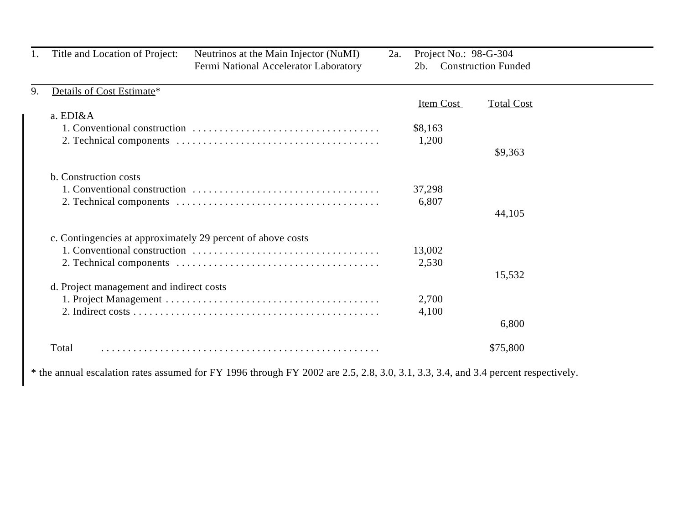|    | Title and Location of Project:                              | Neutrinos at the Main Injector (NuMI)<br>Fermi National Accelerator Laboratory | 2a. | Project No.: 98-G-304<br>2b.  | <b>Construction Funded</b>   |  |
|----|-------------------------------------------------------------|--------------------------------------------------------------------------------|-----|-------------------------------|------------------------------|--|
| 9. | Details of Cost Estimate*<br>a. EDI&A                       |                                                                                |     | Item Cost<br>\$8,163<br>1,200 | <b>Total Cost</b><br>\$9,363 |  |
|    | b. Construction costs                                       |                                                                                |     | 37,298<br>6,807               | 44,105                       |  |
|    | c. Contingencies at approximately 29 percent of above costs |                                                                                |     | 13,002<br>2,530               | 15,532                       |  |
|    | d. Project management and indirect costs                    |                                                                                |     | 2,700<br>4,100                | 6,800                        |  |
|    | Total                                                       |                                                                                |     |                               | \$75,800                     |  |

\* the annual escalation rates assumed for FY 1996 through FY 2002 are 2.5, 2.8, 3.0, 3.1, 3.3, 3.4, and 3.4 percent respectively.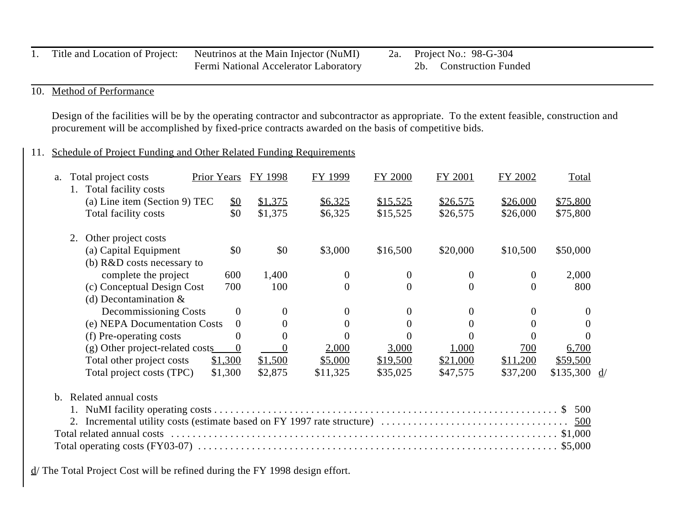|  | Title and Location of Project: Neutrinos at the Main Injector (NuMI) |  | 2a. Project No.: 98-G-304 |
|--|----------------------------------------------------------------------|--|---------------------------|
|  | <b>Fermi National Accelerator Laboratory</b>                         |  | 2b. Construction Funded   |

## 10. Method of Performance

Design of the facilities will be by the operating contractor and subcontractor as appropriate. To the extent feasible, construction and procurement will be accomplished by fixed-price contracts awarded on the basis of competitive bids.

## 11. Schedule of Project Funding and Other Related Funding Requirements

| a.      |    | Total project costs             | <b>Prior Years</b> | FY 1998  | FY 1999  | FY 2000  | FY 2001        | FY 2002      | Total                   |  |
|---------|----|---------------------------------|--------------------|----------|----------|----------|----------------|--------------|-------------------------|--|
|         |    | 1. Total facility costs         |                    |          |          |          |                |              |                         |  |
|         |    | (a) Line item (Section 9) TEC   | $\underline{\$0}$  | \$1,375  | \$6,325  | \$15,525 | \$26,575       | \$26,000     | \$75,800                |  |
|         |    | Total facility costs            | \$0                | \$1,375  | \$6,325  | \$15,525 | \$26,575       | \$26,000     | \$75,800                |  |
|         | 2. | Other project costs             |                    |          |          |          |                |              |                         |  |
|         |    | (a) Capital Equipment           | \$0                | \$0      | \$3,000  | \$16,500 | \$20,000       | \$10,500     | \$50,000                |  |
|         |    | (b) R&D costs necessary to      |                    |          |          |          |                |              |                         |  |
|         |    | complete the project            | 600                | 1,400    | $\Omega$ | $\theta$ | $\theta$       | $\mathbf{0}$ | 2,000                   |  |
|         |    | (c) Conceptual Design Cost      | 700                | 100      | $\Omega$ | $\Omega$ | $\Omega$       | $\theta$     | 800                     |  |
|         |    | (d) Decontamination $&$         |                    |          |          |          |                |              |                         |  |
|         |    | Decommissioning Costs           | $\boldsymbol{0}$   | $\theta$ | 0        | 0        | $\mathbf{0}$   | $\Omega$     | $\theta$                |  |
|         |    | (e) NEPA Documentation Costs    | $\overline{0}$     |          | 0        | 0        | $\overline{0}$ | $\Omega$     |                         |  |
|         |    | (f) Pre-operating costs         | 0                  |          |          |          |                |              |                         |  |
|         |    | (g) Other project-related costs | $\boldsymbol{0}$   |          | 2,000    | 3,000    | 1,000          | 700          | 6,700                   |  |
|         |    | Total other project costs       | \$1,300            | \$1,500  | \$5,000  | \$19,500 | \$21,000       | \$11,200     | \$59,500                |  |
|         |    | Total project costs (TPC)       | \$1,300            | \$2,875  | \$11,325 | \$35,025 | \$47,575       | \$37,200     | \$135,300 $\frac{d}{ }$ |  |
| $h_{-}$ |    | Related annual costs            |                    |          |          |          |                |              |                         |  |
|         |    |                                 |                    |          |          |          |                |              | 500                     |  |
|         |    |                                 |                    |          |          |          |                |              | <u>500</u>              |  |
|         |    |                                 |                    |          |          |          |                |              |                         |  |
|         |    |                                 |                    |          |          |          |                |              |                         |  |
|         |    |                                 |                    |          |          |          |                |              |                         |  |

d/ The Total Project Cost will be refined during the FY 1998 design effort.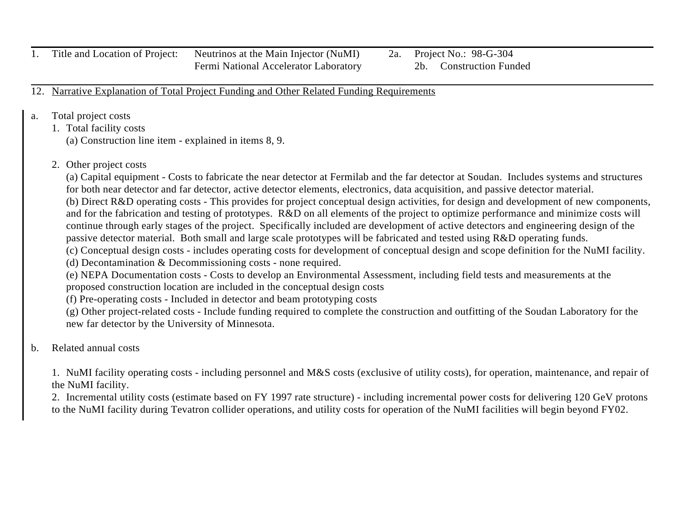1. Title and Location of Project: Neutrinos at the Main Injector (NuMI) 2a. Project No.: 98-G-304

Fermi National Accelerator Laboratory 2b. Construction Funded

12. Narrative Explanation of Total Project Funding and Other Related Funding Requirements

- a. Total project costs
	- 1. Total facility costs

(a) Construction line item - explained in items 8, 9.

2. Other project costs

(a) Capital equipment - Costs to fabricate the near detector at Fermilab and the far detector at Soudan. Includes systems and structures for both near detector and far detector, active detector elements, electronics, data acquisition, and passive detector material.

(b) Direct R&D operating costs - This provides for project conceptual design activities, for design and development of new components, and for the fabrication and testing of prototypes. R&D on all elements of the project to optimize performance and minimize costs will continue through early stages of the project. Specifically included are development of active detectors and engineering design of the passive detector material. Both small and large scale prototypes will be fabricated and tested using R&D operating funds.

(c) Conceptual design costs - includes operating costs for development of conceptual design and scope definition for the NuMI facility.

(d) Decontamination & Decommissioning costs - none required.

(e) NEPA Documentation costs - Costs to develop an Environmental Assessment, including field tests and measurements at the proposed construction location are included in the conceptual design costs

(f) Pre-operating costs - Included in detector and beam prototyping costs

(g) Other project-related costs - Include funding required to complete the construction and outfitting of the Soudan Laboratory for the new far detector by the University of Minnesota.

b. Related annual costs

1. NuMI facility operating costs - including personnel and M&S costs (exclusive of utility costs), for operation, maintenance, and repair of the NuMI facility.

2. Incremental utility costs (estimate based on FY 1997 rate structure) - including incremental power costs for delivering 120 GeV protons to the NuMI facility during Tevatron collider operations, and utility costs for operation of the NuMI facilities will begin beyond FY02.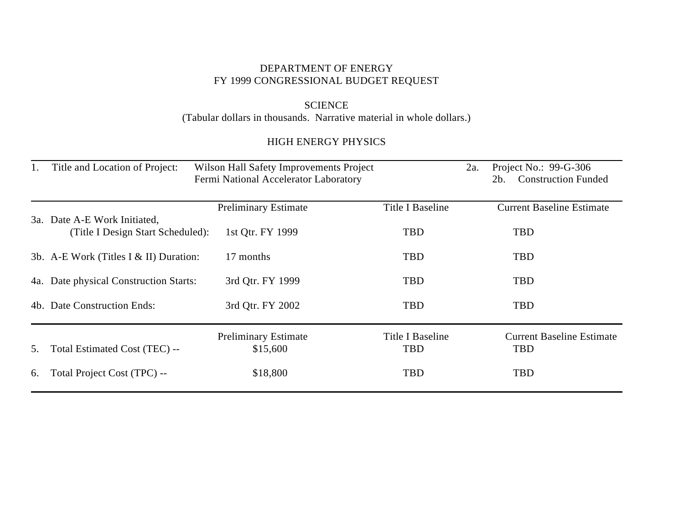#### DEPARTMENT OF ENERGY FY 1999 CONGRESSIONAL BUDGET REQUEST

## SCIENCE (Tabular dollars in thousands. Narrative material in whole dollars.)

# HIGH ENERGY PHYSICS

| 1. | Title and Location of Project:                                    | Wilson Hall Safety Improvements Project<br>Fermi National Accelerator Laboratory |                                | 2a. | Project No.: $99-G-306$<br><b>Construction Funded</b><br>$2b$ . |
|----|-------------------------------------------------------------------|----------------------------------------------------------------------------------|--------------------------------|-----|-----------------------------------------------------------------|
|    |                                                                   | <b>Preliminary Estimate</b>                                                      | Title I Baseline               |     | <b>Current Baseline Estimate</b>                                |
|    | 3a. Date A-E Work Initiated,<br>(Title I Design Start Scheduled): | 1st Qtr. FY 1999                                                                 | <b>TBD</b>                     |     | <b>TBD</b>                                                      |
|    | 3b. A-E Work (Titles I & II) Duration:                            | 17 months                                                                        | <b>TBD</b>                     |     | <b>TBD</b>                                                      |
|    | 4a. Date physical Construction Starts:                            | 3rd Qtr. FY 1999                                                                 | <b>TBD</b>                     |     | <b>TBD</b>                                                      |
|    | 4b. Date Construction Ends:                                       | 3rd Qtr. FY 2002                                                                 | <b>TBD</b>                     |     | <b>TBD</b>                                                      |
| 5. | Total Estimated Cost (TEC) --                                     | <b>Preliminary Estimate</b><br>\$15,600                                          | Title I Baseline<br><b>TBD</b> |     | <b>Current Baseline Estimate</b><br><b>TBD</b>                  |
| 6. | Total Project Cost (TPC) --                                       | \$18,800                                                                         | <b>TBD</b>                     |     | <b>TBD</b>                                                      |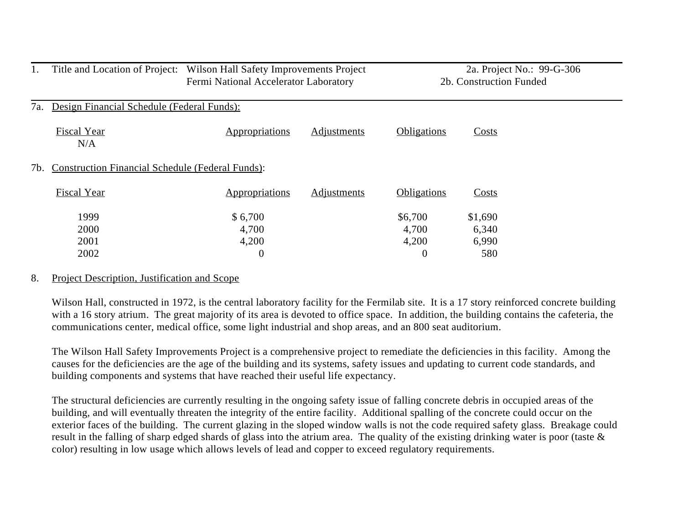|     | Title and Location of Project: Wilson Hall Safety Improvements Project | Fermi National Accelerator Laboratory |                    |                    | 2a. Project No.: 99-G-306<br>2b. Construction Funded |  |
|-----|------------------------------------------------------------------------|---------------------------------------|--------------------|--------------------|------------------------------------------------------|--|
| 7a. | Design Financial Schedule (Federal Funds):                             |                                       |                    |                    |                                                      |  |
|     | <b>Fiscal Year</b><br>N/A                                              | Appropriations                        | <b>Adjustments</b> | <b>Obligations</b> | <b>Costs</b>                                         |  |
| 7b. | <b>Construction Financial Schedule (Federal Funds):</b>                |                                       |                    |                    |                                                      |  |
|     | <b>Fiscal Year</b>                                                     | <b>Appropriations</b>                 | <b>Adjustments</b> | <b>Obligations</b> | <b>Costs</b>                                         |  |
|     | 1999                                                                   | \$6,700                               |                    | \$6,700            | \$1,690                                              |  |
|     | 2000                                                                   | 4,700                                 |                    | 4,700              | 6,340                                                |  |
|     | 2001                                                                   | 4,200                                 |                    | 4,200              | 6,990                                                |  |
|     | 2002                                                                   | $\overline{0}$                        |                    | $\theta$           | 580                                                  |  |

#### 8. Project Description, Justification and Scope

Wilson Hall, constructed in 1972, is the central laboratory facility for the Fermilab site. It is a 17 story reinforced concrete building with a 16 story atrium. The great majority of its area is devoted to office space. In addition, the building contains the cafeteria, the communications center, medical office, some light industrial and shop areas, and an 800 seat auditorium.

The Wilson Hall Safety Improvements Project is a comprehensive project to remediate the deficiencies in this facility. Among the causes for the deficiencies are the age of the building and its systems, safety issues and updating to current code standards, and building components and systems that have reached their useful life expectancy.

The structural deficiencies are currently resulting in the ongoing safety issue of falling concrete debris in occupied areas of the building, and will eventually threaten the integrity of the entire facility. Additional spalling of the concrete could occur on the exterior faces of the building. The current glazing in the sloped window walls is not the code required safety glass. Breakage could result in the falling of sharp edged shards of glass into the atrium area. The quality of the existing drinking water is poor (taste & color) resulting in low usage which allows levels of lead and copper to exceed regulatory requirements.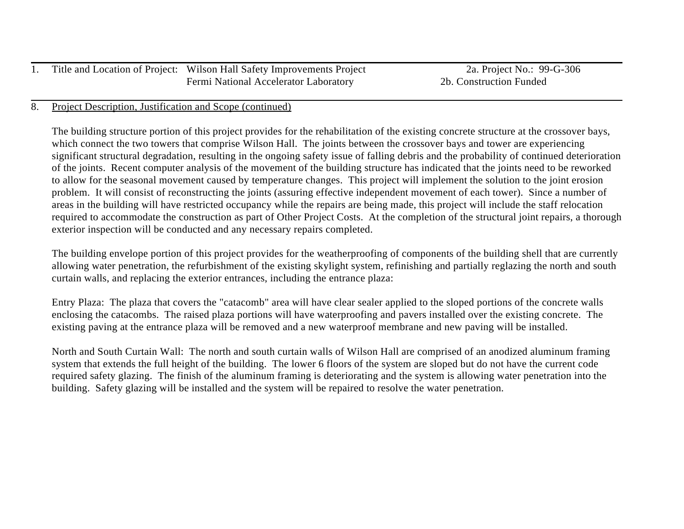| 1. Title and Location of Project: Wilson Hall Safety Improvements Project |  | 2a. Project No.: 99-G-306 |
|---------------------------------------------------------------------------|--|---------------------------|
| <b>Fermi National Accelerator Laboratory</b>                              |  | 2b. Construction Funded   |

#### 8. Project Description, Justification and Scope (continued)

The building structure portion of this project provides for the rehabilitation of the existing concrete structure at the crossover bays, which connect the two towers that comprise Wilson Hall. The joints between the crossover bays and tower are experiencing significant structural degradation, resulting in the ongoing safety issue of falling debris and the probability of continued deterioration of the joints. Recent computer analysis of the movement of the building structure has indicated that the joints need to be reworked to allow for the seasonal movement caused by temperature changes. This project will implement the solution to the joint erosion problem. It will consist of reconstructing the joints (assuring effective independent movement of each tower). Since a number of areas in the building will have restricted occupancy while the repairs are being made, this project will include the staff relocation required to accommodate the construction as part of Other Project Costs. At the completion of the structural joint repairs, a thorough exterior inspection will be conducted and any necessary repairs completed.

The building envelope portion of this project provides for the weatherproofing of components of the building shell that are currently allowing water penetration, the refurbishment of the existing skylight system, refinishing and partially reglazing the north and south curtain walls, and replacing the exterior entrances, including the entrance plaza:

Entry Plaza: The plaza that covers the "catacomb" area will have clear sealer applied to the sloped portions of the concrete walls enclosing the catacombs. The raised plaza portions will have waterproofing and pavers installed over the existing concrete. The existing paving at the entrance plaza will be removed and a new waterproof membrane and new paving will be installed.

North and South Curtain Wall: The north and south curtain walls of Wilson Hall are comprised of an anodized aluminum framing system that extends the full height of the building. The lower 6 floors of the system are sloped but do not have the current code required safety glazing. The finish of the aluminum framing is deteriorating and the system is allowing water penetration into the building. Safety glazing will be installed and the system will be repaired to resolve the water penetration.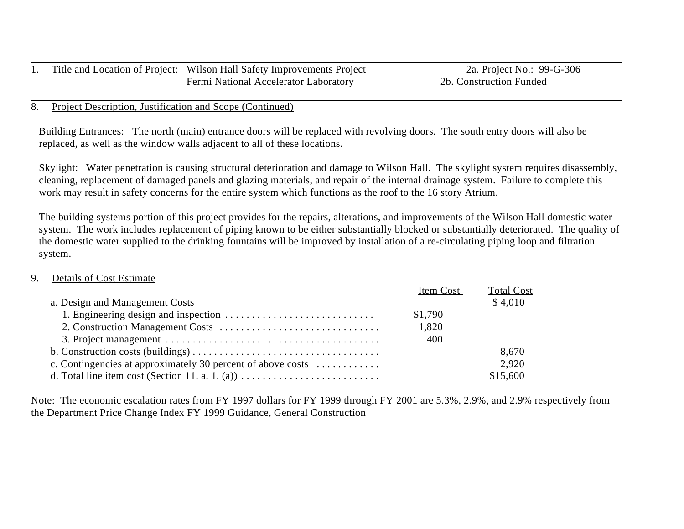|  | Title and Location of Project: Wilson Hall Safety Improvements Project |
|--|------------------------------------------------------------------------|
|  | Fermi National Accelerator Laboratory                                  |

#### 8. Project Description, Justification and Scope (Continued)

Building Entrances: The north (main) entrance doors will be replaced with revolving doors. The south entry doors will also be replaced, as well as the window walls adjacent to all of these locations.

Skylight: Water penetration is causing structural deterioration and damage to Wilson Hall. The skylight system requires disassembly, cleaning, replacement of damaged panels and glazing materials, and repair of the internal drainage system. Failure to complete this work may result in safety concerns for the entire system which functions as the roof to the 16 story Atrium.

The building systems portion of this project provides for the repairs, alterations, and improvements of the Wilson Hall domestic water system. The work includes replacement of piping known to be either substantially blocked or substantially deteriorated. The quality of the domestic water supplied to the drinking fountains will be improved by installation of a re-circulating piping loop and filtration system.

#### 9. Details of Cost Estimate

|                                                             | Item Cost | <b>Total Cost</b> |
|-------------------------------------------------------------|-----------|-------------------|
| a. Design and Management Costs                              |           | \$4,010           |
|                                                             | \$1,790   |                   |
|                                                             | 1,820     |                   |
|                                                             | 400       |                   |
|                                                             |           | 8,670             |
| c. Contingencies at approximately 30 percent of above costs |           | 2,920             |
|                                                             |           | \$15,600          |

Note: The economic escalation rates from FY 1997 dollars for FY 1999 through FY 2001 are 5.3%, 2.9%, and 2.9% respectively from the Department Price Change Index FY 1999 Guidance, General Construction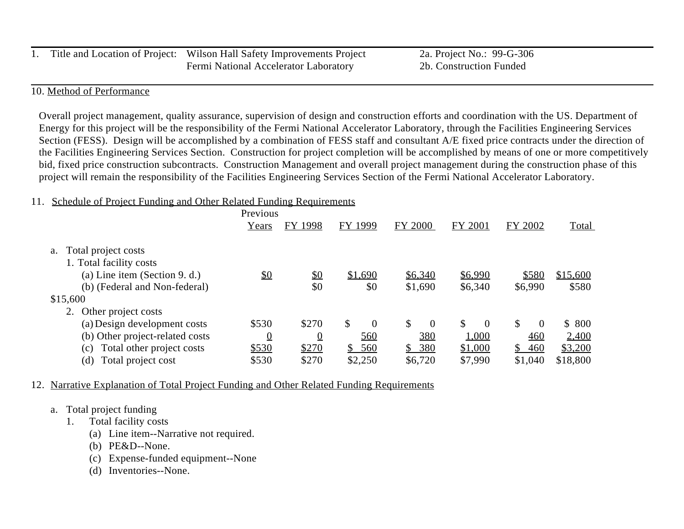|  | Title and Location of Project: Wilson Hall Safety Improvements Project | 2a. Project No.: 99-G-306 |
|--|------------------------------------------------------------------------|---------------------------|
|  | Fermi National Accelerator Laboratory                                  | 2b. Construction Funded   |

## 10. Method of Performance

Overall project management, quality assurance, supervision of design and construction efforts and coordination with the US. Department of Energy for this project will be the responsibility of the Fermi National Accelerator Laboratory, through the Facilities Engineering Services Section (FESS). Design will be accomplished by a combination of FESS staff and consultant A/E fixed price contracts under the direction of the Facilities Engineering Services Section. Construction for project completion will be accomplished by means of one or more competitively bid, fixed price construction subcontracts. Construction Management and overall project management during the construction phase of this project will remain the responsibility of the Facilities Engineering Services Section of the Fermi National Accelerator Laboratory.

#### 11. Schedule of Project Funding and Other Related Funding Requirements

|                                                                | Previous       |                |                       |                      |                      |                       |                   |
|----------------------------------------------------------------|----------------|----------------|-----------------------|----------------------|----------------------|-----------------------|-------------------|
|                                                                | Years          | FY 1998        | 1999<br>FY            | <b>FY 2000</b>       | FY 2001              | FY 2002               | <b>Total</b>      |
| Total project costs<br>a.<br>1. Total facility costs           |                |                |                       |                      |                      |                       |                   |
| (a) Line item (Section 9. d.)<br>(b) (Federal and Non-federal) | \$0            | \$0<br>\$0     | \$1,690<br>\$0        | \$6,340<br>\$1,690   | \$6,990<br>\$6,340   | \$580<br>\$6,990      | \$15,600<br>\$580 |
| \$15,600                                                       |                |                |                       |                      |                      |                       |                   |
| Other project costs                                            |                |                |                       |                      |                      |                       |                   |
| (a) Design development costs                                   | \$530          | \$270          | \$<br>$\Omega$        | \$<br>$\overline{0}$ | \$<br>$\overline{0}$ | \$<br>$\Omega$        | \$800             |
| (b) Other project-related costs                                | $\overline{0}$ | $\overline{0}$ | 560                   | <u>380</u>           | 1,000                | 460                   | 2,400             |
| Total other project costs<br>(c)                               | \$530          | \$270          | $\mathbb{S}^-$<br>560 | 380<br>$\mathbb{S}$  | \$1,000              | $\mathbb{S}^-$<br>460 | \$3,200           |
| (d)<br>Total project cost                                      | \$530          | \$270          | \$2,250               | \$6,720              | \$7,990              | \$1,040               | \$18,800          |

#### 12. Narrative Explanation of Total Project Funding and Other Related Funding Requirements

## a. Total project funding

- 1. Total facility costs
	- (a) Line item--Narrative not required.
	- (b) PE&D--None.
	- (c) Expense-funded equipment--None
	- (d) Inventories--None.